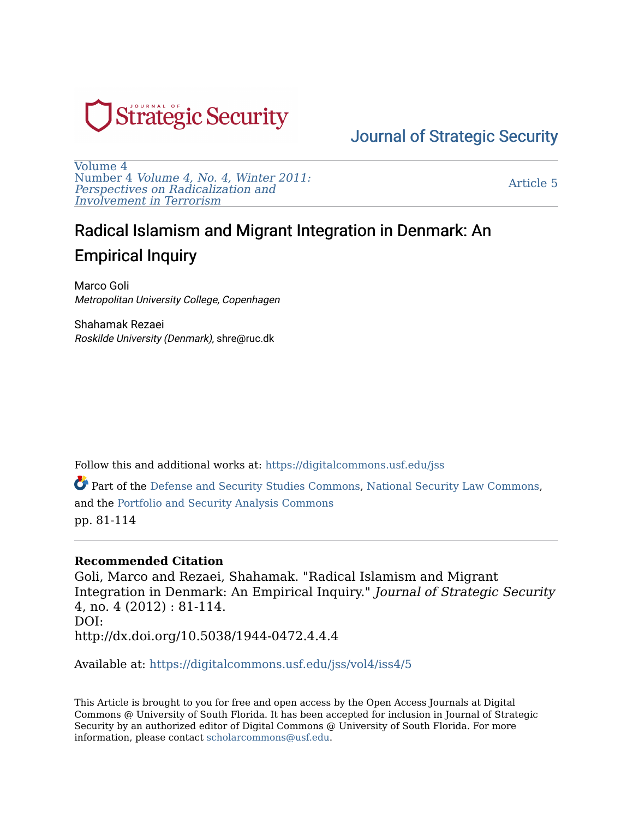

[Volume 4](https://digitalcommons.usf.edu/jss/vol4)  Number 4 [Volume 4, No. 4, Winter 2011:](https://digitalcommons.usf.edu/jss/vol4/iss4)  [Perspectives on Radicalization and](https://digitalcommons.usf.edu/jss/vol4/iss4)  [Involvement in Terrorism](https://digitalcommons.usf.edu/jss/vol4/iss4) 

[Article 5](https://digitalcommons.usf.edu/jss/vol4/iss4/5) 

# Radical Islamism and Migrant Integration in Denmark: An Empirical Inquiry

Marco Goli Metropolitan University College, Copenhagen

Shahamak Rezaei Roskilde University (Denmark), shre@ruc.dk

Follow this and additional works at: [https://digitalcommons.usf.edu/jss](https://digitalcommons.usf.edu/jss?utm_source=digitalcommons.usf.edu%2Fjss%2Fvol4%2Fiss4%2F5&utm_medium=PDF&utm_campaign=PDFCoverPages)

Part of the [Defense and Security Studies Commons,](http://network.bepress.com/hgg/discipline/394?utm_source=digitalcommons.usf.edu%2Fjss%2Fvol4%2Fiss4%2F5&utm_medium=PDF&utm_campaign=PDFCoverPages) [National Security Law Commons,](http://network.bepress.com/hgg/discipline/1114?utm_source=digitalcommons.usf.edu%2Fjss%2Fvol4%2Fiss4%2F5&utm_medium=PDF&utm_campaign=PDFCoverPages) and the [Portfolio and Security Analysis Commons](http://network.bepress.com/hgg/discipline/640?utm_source=digitalcommons.usf.edu%2Fjss%2Fvol4%2Fiss4%2F5&utm_medium=PDF&utm_campaign=PDFCoverPages)  pp. 81-114

## **Recommended Citation**

Goli, Marco and Rezaei, Shahamak. "Radical Islamism and Migrant Integration in Denmark: An Empirical Inquiry." Journal of Strategic Security 4, no. 4 (2012) : 81-114. DOI: http://dx.doi.org/10.5038/1944-0472.4.4.4

Available at: [https://digitalcommons.usf.edu/jss/vol4/iss4/5](https://digitalcommons.usf.edu/jss/vol4/iss4/5?utm_source=digitalcommons.usf.edu%2Fjss%2Fvol4%2Fiss4%2F5&utm_medium=PDF&utm_campaign=PDFCoverPages) 

This Article is brought to you for free and open access by the Open Access Journals at Digital Commons @ University of South Florida. It has been accepted for inclusion in Journal of Strategic Security by an authorized editor of Digital Commons @ University of South Florida. For more information, please contact [scholarcommons@usf.edu.](mailto:scholarcommons@usf.edu)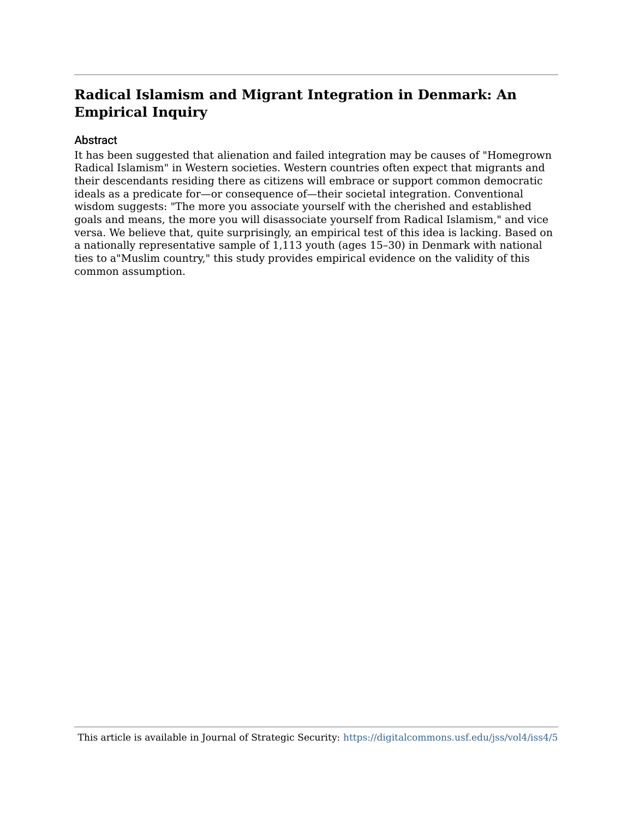#### Abstract

It has been suggested that alienation and failed integration may be causes of "Homegrown Radical Islamism" in Western societies. Western countries often expect that migrants and their descendants residing there as citizens will embrace or support common democratic ideals as a predicate for—or consequence of—their societal integration. Conventional wisdom suggests: "The more you associate yourself with the cherished and established goals and means, the more you will disassociate yourself from Radical Islamism," and vice versa. We believe that, quite surprisingly, an empirical test of this idea is lacking. Based on a nationally representative sample of 1,113 youth (ages 15–30) in Denmark with national ties to a"Muslim country," this study provides empirical evidence on the validity of this common assumption.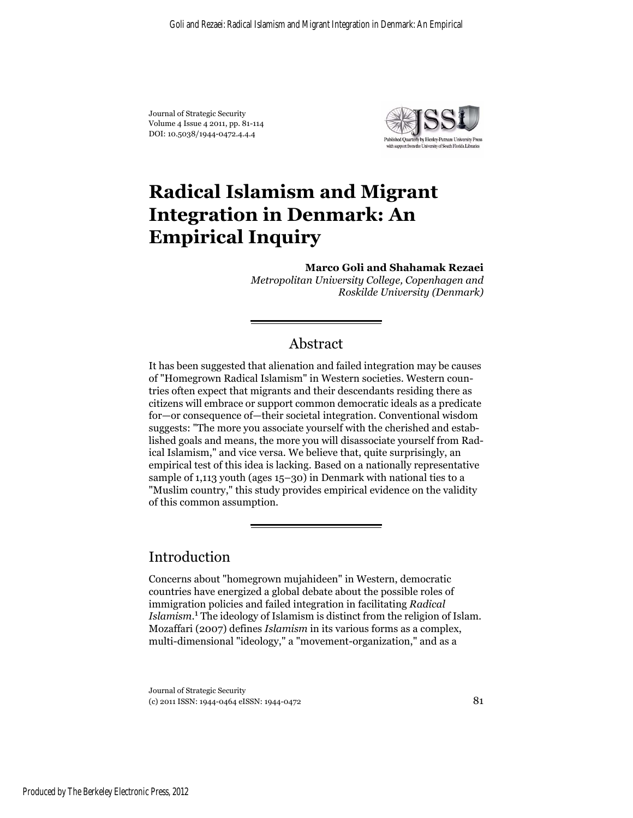Journal of Strategic Security Volume 4 Issue 4 2011, pp. 81-114 DOI: 10.5038/1944-0472.4.4.4



# **Radical Islamism and Migrant Integration in Denmark: An Empirical Inquiry**

**Marco Goli and Shahamak Rezaei** *Metropolitan University College, Copenhagen and Roskilde University (Denmark)*

## Abstract

It has been suggested that alienation and failed integration may be causes of "Homegrown Radical Islamism" in Western societies. Western countries often expect that migrants and their descendants residing there as citizens will embrace or support common democratic ideals as a predicate for—or consequence of—their societal integration. Conventional wisdom suggests: "The more you associate yourself with the cherished and established goals and means, the more you will disassociate yourself from Radical Islamism," and vice versa. We believe that, quite surprisingly, an empirical test of this idea is lacking. Based on a nationally representative sample of 1,113 youth (ages 15–30) in Denmark with national ties to a "Muslim country," this study provides empirical evidence on the validity of this common assumption.

## Introduction

Concerns about "homegrown mujahideen" in Western, democratic countries have energized a global debate about the possible roles of immigration policies and failed integration in facilitating *Radical*  Islamism.<sup>1</sup> The ideology of Islamism is distinct from the religion of Islam. Mozaffari (2007) defines *Islamism* in its various forms as a complex, multi-dimensional "ideology," a "movement-organization," and as a

Journal of Strategic Security (c) 2011 ISSN: 1944-0464 eISSN: 1944-0472 81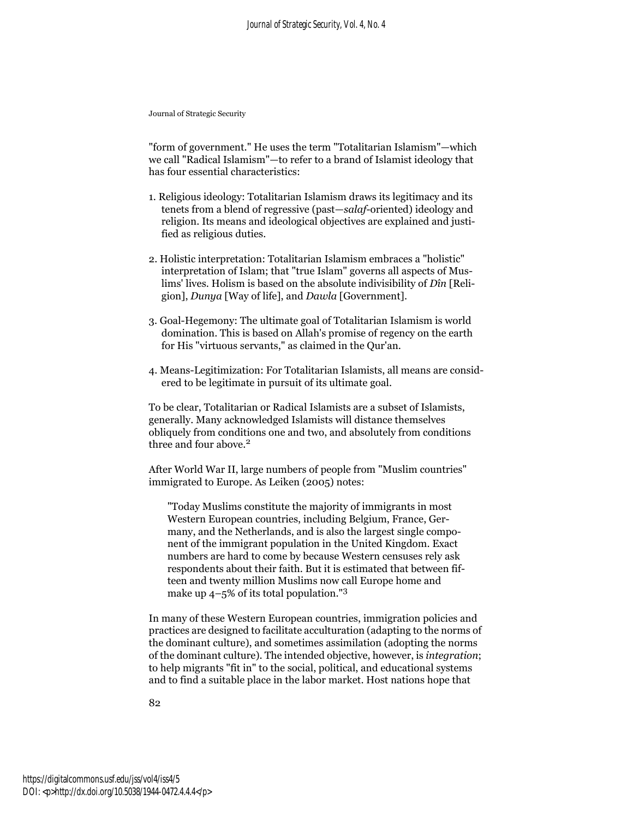"form of government." He uses the term "Totalitarian Islamism"—which we call "Radical Islamism"—to refer to a brand of Islamist ideology that has four essential characteristics:

- 1. Religious ideology: Totalitarian Islamism draws its legitimacy and its tenets from a blend of regressive (past—*salaf*-oriented) ideology and religion. Its means and ideological objectives are explained and justified as religious duties.
- 2. Holistic interpretation: Totalitarian Islamism embraces a "holistic" interpretation of Islam; that "true Islam" governs all aspects of Muslims' lives. Holism is based on the absolute indivisibility of *Dîn* [Religion], *Dunya* [Way of life], and *Dawla* [Government].
- 3. Goal-Hegemony: The ultimate goal of Totalitarian Islamism is world domination. This is based on Allah's promise of regency on the earth for His "virtuous servants," as claimed in the Qur'an.
- 4. Means-Legitimization: For Totalitarian Islamists, all means are considered to be legitimate in pursuit of its ultimate goal.

To be clear, Totalitarian or Radical Islamists are a subset of Islamists, generally. Many acknowledged Islamists will distance themselves obliquely from conditions one and two, and absolutely from conditions three and four above.<sup>2</sup>

After World War II, large numbers of people from "Muslim countries" immigrated to Europe. As Leiken (2005) notes:

"Today Muslims constitute the majority of immigrants in most Western European countries, including Belgium, France, Germany, and the Netherlands, and is also the largest single component of the immigrant population in the United Kingdom. Exact numbers are hard to come by because Western censuses rely ask respondents about their faith. But it is estimated that between fifteen and twenty million Muslims now call Europe home and make up 4–5% of its total population."<sup>3</sup>

In many of these Western European countries, immigration policies and practices are designed to facilitate acculturation (adapting to the norms of the dominant culture), and sometimes assimilation (adopting the norms of the dominant culture). The intended objective, however, is *integration*; to help migrants "fit in" to the social, political, and educational systems and to find a suitable place in the labor market. Host nations hope that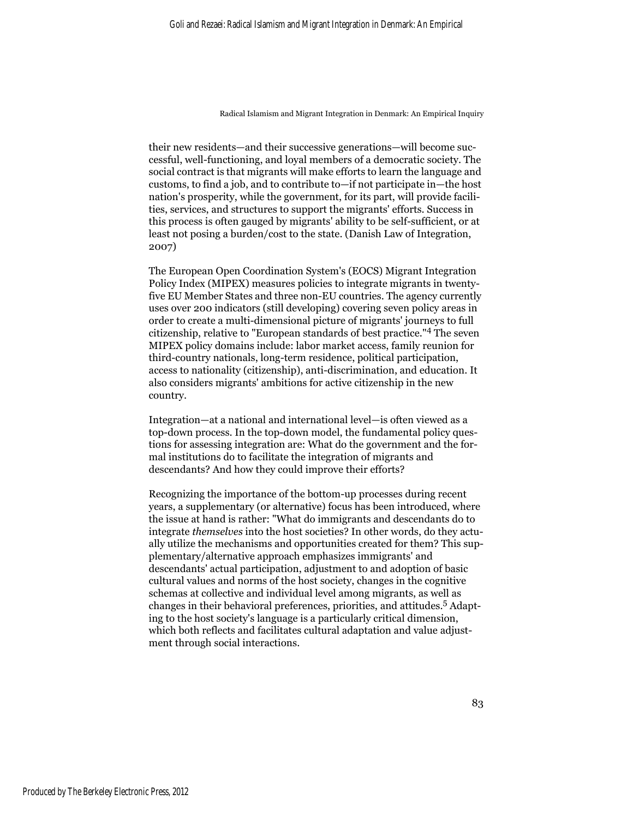their new residents—and their successive generations—will become successful, well-functioning, and loyal members of a democratic society. The social contract is that migrants will make efforts to learn the language and customs, to find a job, and to contribute to—if not participate in—the host nation's prosperity, while the government, for its part, will provide facilities, services, and structures to support the migrants' efforts. Success in this process is often gauged by migrants' ability to be self-sufficient, or at least not posing a burden/cost to the state. (Danish Law of Integration, 2007)

The European Open Coordination System's (EOCS) Migrant Integration Policy Index (MIPEX) measures policies to integrate migrants in twentyfive EU Member States and three non-EU countries. The agency currently uses over 200 indicators (still developing) covering seven policy areas in order to create a multi-dimensional picture of migrants' journeys to full citizenship, relative to "European standards of best practice."4 The seven MIPEX policy domains include: labor market access, family reunion for third-country nationals, long-term residence, political participation, access to nationality (citizenship), anti-discrimination, and education. It also considers migrants' ambitions for active citizenship in the new country.

Integration—at a national and international level—is often viewed as a top-down process. In the top-down model, the fundamental policy questions for assessing integration are: What do the government and the formal institutions do to facilitate the integration of migrants and descendants? And how they could improve their efforts?

Recognizing the importance of the bottom-up processes during recent years, a supplementary (or alternative) focus has been introduced, where the issue at hand is rather: "What do immigrants and descendants do to integrate *themselves* into the host societies? In other words, do they actually utilize the mechanisms and opportunities created for them? This supplementary/alternative approach emphasizes immigrants' and descendants' actual participation, adjustment to and adoption of basic cultural values and norms of the host society, changes in the cognitive schemas at collective and individual level among migrants, as well as changes in their behavioral preferences, priorities, and attitudes.5 Adapting to the host society's language is a particularly critical dimension, which both reflects and facilitates cultural adaptation and value adjustment through social interactions.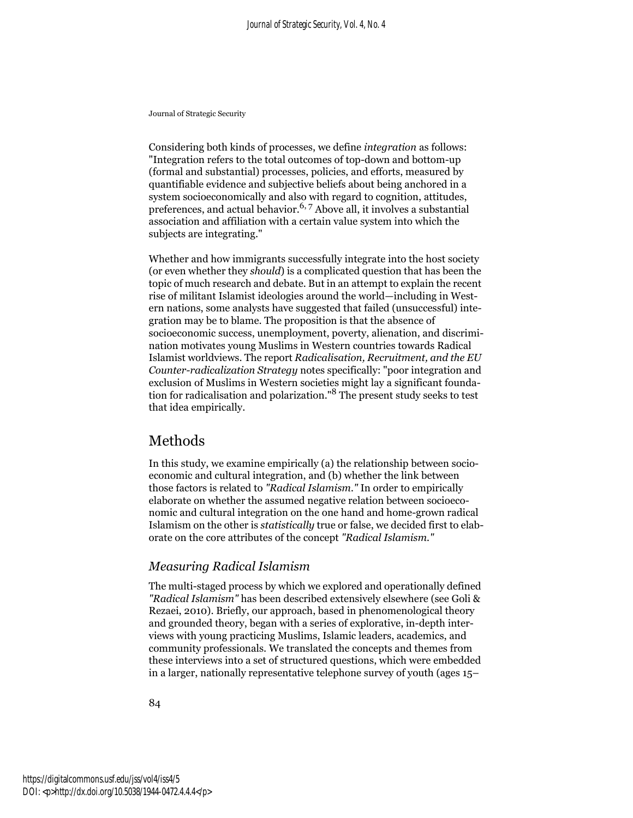Considering both kinds of processes, we define *integration* as follows: "Integration refers to the total outcomes of top-down and bottom-up (formal and substantial) processes, policies, and efforts, measured by quantifiable evidence and subjective beliefs about being anchored in a system socioeconomically and also with regard to cognition, attitudes, preferences, and actual behavior.<sup>6, 7</sup> Above all, it involves a substantial association and affiliation with a certain value system into which the subjects are integrating."

Whether and how immigrants successfully integrate into the host society (or even whether they *should*) is a complicated question that has been the topic of much research and debate. But in an attempt to explain the recent rise of militant Islamist ideologies around the world—including in Western nations, some analysts have suggested that failed (unsuccessful) integration may be to blame. The proposition is that the absence of socioeconomic success, unemployment, poverty, alienation, and discrimination motivates young Muslims in Western countries towards Radical Islamist worldviews. The report *Radicalisation, Recruitment, and the EU Counter-radicalization Strategy* notes specifically: "poor integration and exclusion of Muslims in Western societies might lay a significant foundation for radicalisation and polarization."8 The present study seeks to test that idea empirically.

## Methods

In this study, we examine empirically (a) the relationship between socioeconomic and cultural integration, and (b) whether the link between those factors is related to *"Radical Islamism."* In order to empirically elaborate on whether the assumed negative relation between socioeconomic and cultural integration on the one hand and home-grown radical Islamism on the other is *statistically* true or false, we decided first to elaborate on the core attributes of the concept *"Radical Islamism."*

#### *Measuring Radical Islamism*

The multi-staged process by which we explored and operationally defined *"Radical Islamism"* has been described extensively elsewhere (see Goli & Rezaei, 2010). Briefly, our approach, based in phenomenological theory and grounded theory, began with a series of explorative, in-depth interviews with young practicing Muslims, Islamic leaders, academics, and community professionals. We translated the concepts and themes from these interviews into a set of structured questions, which were embedded in a larger, nationally representative telephone survey of youth (ages 15–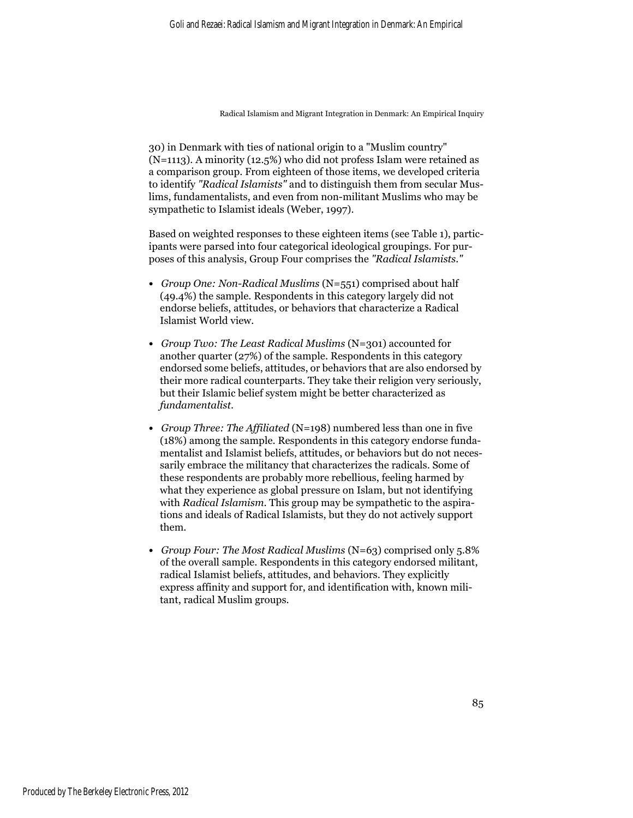30) in Denmark with ties of national origin to a "Muslim country" (N=1113). A minority (12.5%) who did not profess Islam were retained as a comparison group. From eighteen of those items, we developed criteria to identify *"Radical Islamists"* and to distinguish them from secular Muslims, fundamentalists, and even from non-militant Muslims who may be sympathetic to Islamist ideals (Weber, 1997).

Based on weighted responses to these eighteen items (see Table 1), participants were parsed into four categorical ideological groupings. For purposes of this analysis, Group Four comprises the *"Radical Islamists."*

- *Group One: Non-Radical Muslims* (N=551) comprised about half (49.4%) the sample. Respondents in this category largely did not endorse beliefs, attitudes, or behaviors that characterize a Radical Islamist World view.
- *Group Two: The Least Radical Muslims* (N=301) accounted for another quarter (27%) of the sample. Respondents in this category endorsed some beliefs, attitudes, or behaviors that are also endorsed by their more radical counterparts. They take their religion very seriously, but their Islamic belief system might be better characterized as *fundamentalist*.
- *Group Three: The Affiliated* (N=198) numbered less than one in five (18%) among the sample. Respondents in this category endorse fundamentalist and Islamist beliefs, attitudes, or behaviors but do not necessarily embrace the militancy that characterizes the radicals. Some of these respondents are probably more rebellious, feeling harmed by what they experience as global pressure on Islam, but not identifying with *Radical Islamism*. This group may be sympathetic to the aspirations and ideals of Radical Islamists, but they do not actively support them.
- *Group Four: The Most Radical Muslims* (N=63) comprised only 5.8% of the overall sample. Respondents in this category endorsed militant, radical Islamist beliefs, attitudes, and behaviors. They explicitly express affinity and support for, and identification with, known militant, radical Muslim groups.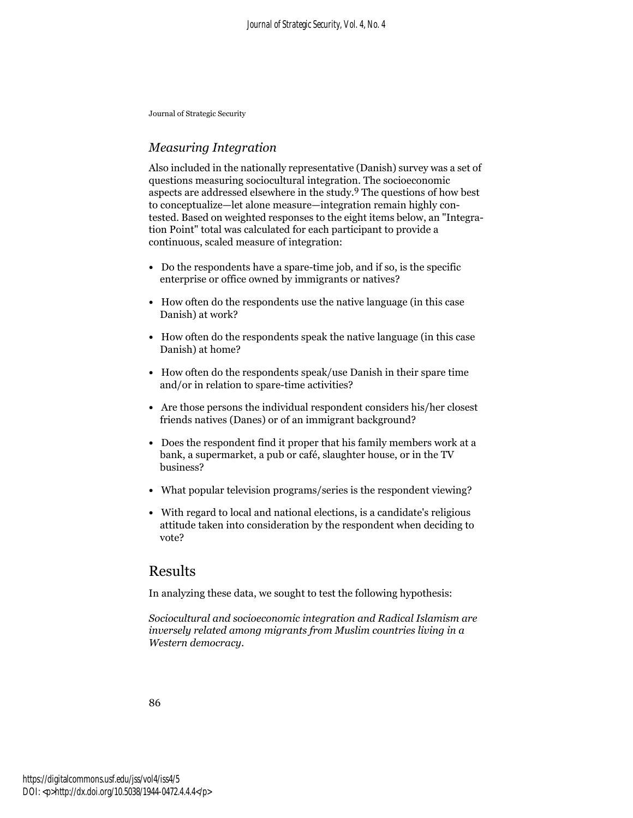## *Measuring Integration*

Also included in the nationally representative (Danish) survey was a set of questions measuring sociocultural integration. The socioeconomic aspects are addressed elsewhere in the study.9 The questions of how best to conceptualize—let alone measure—integration remain highly contested. Based on weighted responses to the eight items below, an "Integration Point" total was calculated for each participant to provide a continuous, scaled measure of integration:

- Do the respondents have a spare-time job, and if so, is the specific enterprise or office owned by immigrants or natives?
- How often do the respondents use the native language (in this case Danish) at work?
- How often do the respondents speak the native language (in this case Danish) at home?
- How often do the respondents speak/use Danish in their spare time and/or in relation to spare-time activities?
- Are those persons the individual respondent considers his/her closest friends natives (Danes) or of an immigrant background?
- Does the respondent find it proper that his family members work at a bank, a supermarket, a pub or café, slaughter house, or in the TV business?
- What popular television programs/series is the respondent viewing?
- With regard to local and national elections, is a candidate's religious attitude taken into consideration by the respondent when deciding to vote?

## Results

In analyzing these data, we sought to test the following hypothesis:

*Sociocultural and socioeconomic integration and Radical Islamism are inversely related among migrants from Muslim countries living in a Western democracy.*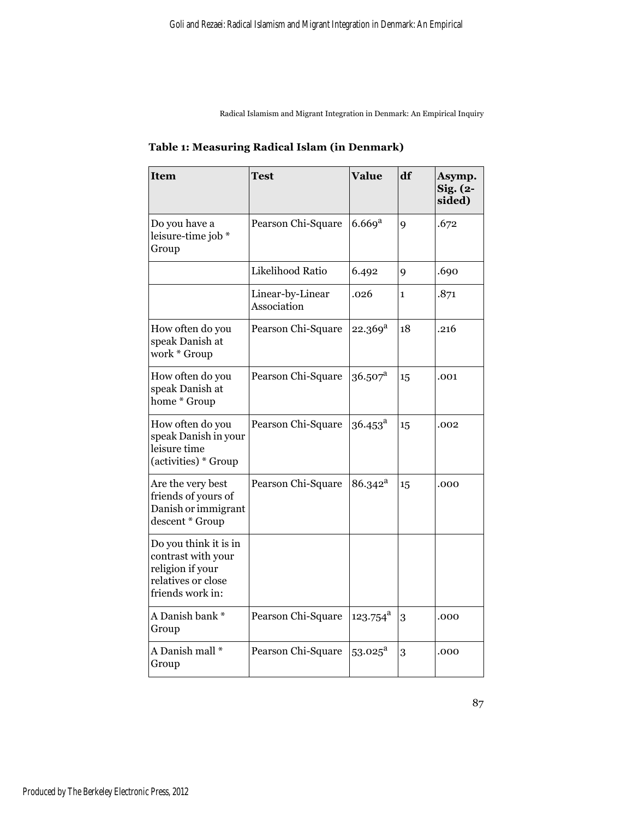| Table 1: Measuring Radical Islam (in Denmark) |  |  |
|-----------------------------------------------|--|--|
|-----------------------------------------------|--|--|

| <b>Item</b>                                                                                               | <b>Test</b>                              | <b>Value</b>          | df           | Asymp.<br>$Sig. (2-$<br>sided) |
|-----------------------------------------------------------------------------------------------------------|------------------------------------------|-----------------------|--------------|--------------------------------|
| Do you have a<br>leisure-time job *<br>Group                                                              | 6.669 <sup>a</sup><br>Pearson Chi-Square |                       | 9            | .672                           |
|                                                                                                           | Likelihood Ratio                         | 6.492                 | 9            | .690                           |
|                                                                                                           | Linear-by-Linear<br>Association          | .026                  | $\mathbf{1}$ | .871                           |
| How often do you<br>Pearson Chi-Square<br>speak Danish at<br>work * Group                                 |                                          | $22.369^{a}$          | 18           | .216                           |
| How often do you<br>speak Danish at<br>home * Group                                                       | Pearson Chi-Square                       | $36.507$ <sup>a</sup> | 15           | .001                           |
| How often do you<br>Pearson Chi-Square<br>speak Danish in your<br>leisure time<br>(activities) * Group    |                                          | $36.453^{\circ}$      | 15           | .002                           |
| Are the very best<br>Pearson Chi-Square<br>friends of yours of<br>Danish or immigrant<br>descent * Group  |                                          | $86.342^a$            | 15           | .000                           |
| Do you think it is in<br>contrast with your<br>religion if your<br>relatives or close<br>friends work in: |                                          |                       |              |                                |
| A Danish bank *<br>Group                                                                                  | Pearson Chi-Square                       | $123.754^a$           | 3            | .000                           |
| A Danish mall *<br>Group                                                                                  | Pearson Chi-Square                       | $53.025^{\rm a}$      | 3            | .000                           |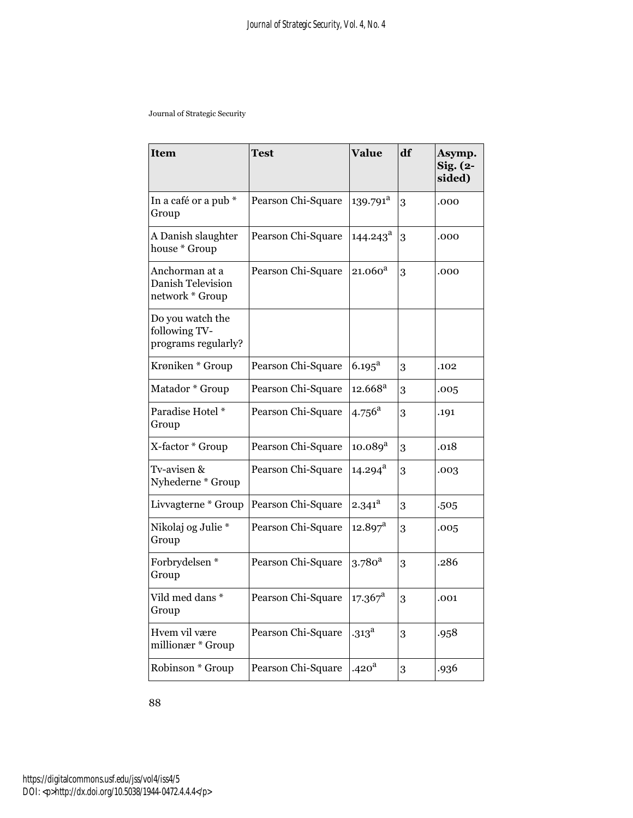| <b>Item</b>                                              | <b>Value</b><br><b>Test</b>                 |                        | df | Asymp.<br>$Sig. (2-$<br>sided) |
|----------------------------------------------------------|---------------------------------------------|------------------------|----|--------------------------------|
| In a café or a pub *<br>Group                            | Pearson Chi-Square                          | 139.791 <sup>a</sup>   | 3  | .000                           |
| A Danish slaughter<br>house * Group                      | Pearson Chi-Square                          | $144.243$ <sup>a</sup> | 3  | .000                           |
| Anchorman at a<br>Danish Television<br>network * Group   | Pearson Chi-Square                          | $21.060^a$             | 3  | .000                           |
| Do you watch the<br>following TV-<br>programs regularly? |                                             |                        |    |                                |
| Krøniken * Group<br>Pearson Chi-Square                   |                                             | $6.195^{\rm a}$        | 3  | .102                           |
| Matador * Group                                          | Pearson Chi-Square                          | $12.668^{\rm a}$       | 3  | .005                           |
| Paradise Hotel *<br>Group                                | Pearson Chi-Square                          | $4.756^{\rm a}$        | 3  | .191                           |
| X-factor * Group                                         | Pearson Chi-Square                          | $10.089^{\rm a}$       | 3  | .018                           |
| Tv-avisen &<br>Nyhederne * Group                         | $14.294^{\mathrm{a}}$<br>Pearson Chi-Square |                        | 3  | .003                           |
| Livvagterne * Group                                      | Pearson Chi-Square                          | $2.341^{\rm a}$        | 3  | .505                           |
| Nikolaj og Julie *<br>Group                              | $12.897$ <sup>a</sup><br>Pearson Chi-Square |                        | 3  | .005                           |
| Forbrydelsen *<br>Group                                  | Pearson Chi-Square<br>$3.780^{a}$           |                        | 3  | .286                           |
| Vild med dans *<br>Group                                 | Pearson Chi-Square                          | $17.367$ <sup>a</sup>  | 3  | .001                           |
| Hvem vil være<br>millionær * Group                       | Pearson Chi-Square                          | $-313^{\mathrm{a}}$    | 3  | .958                           |
| Robinson * Group                                         | Pearson Chi-Square                          | .420 <sup>a</sup>      | 3  | .936                           |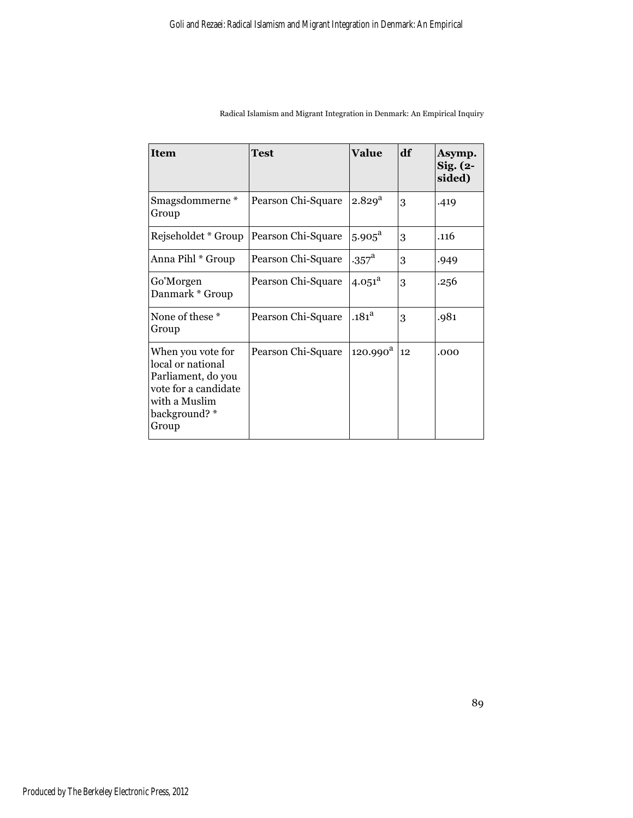| <b>Item</b>                                                                                                                     | Test               | <b>Value</b>       | df | Asymp.<br>$Sig. (2-$<br>sided) |
|---------------------------------------------------------------------------------------------------------------------------------|--------------------|--------------------|----|--------------------------------|
| Smagsdommerne*<br>Group                                                                                                         | Pearson Chi-Square | 2.829 <sup>a</sup> | 3  | .419                           |
| Rejseholdet * Group                                                                                                             | Pearson Chi-Square | $5.905^{\rm a}$    | 3  | .116                           |
| Anna Pihl * Group                                                                                                               | Pearson Chi-Square | .357 <sup>a</sup>  | 3  | .949                           |
| Go'Morgen<br>Danmark * Group                                                                                                    | Pearson Chi-Square | $4.051^{\rm a}$    | 3  | .256                           |
| None of these *<br>Group                                                                                                        | Pearson Chi-Square | .181 <sup>a</sup>  | 3  | .981                           |
| When you vote for<br>local or national<br>Parliament, do you<br>vote for a candidate<br>with a Muslim<br>background? *<br>Group | Pearson Chi-Square | $120.990^a$        | 12 | .000                           |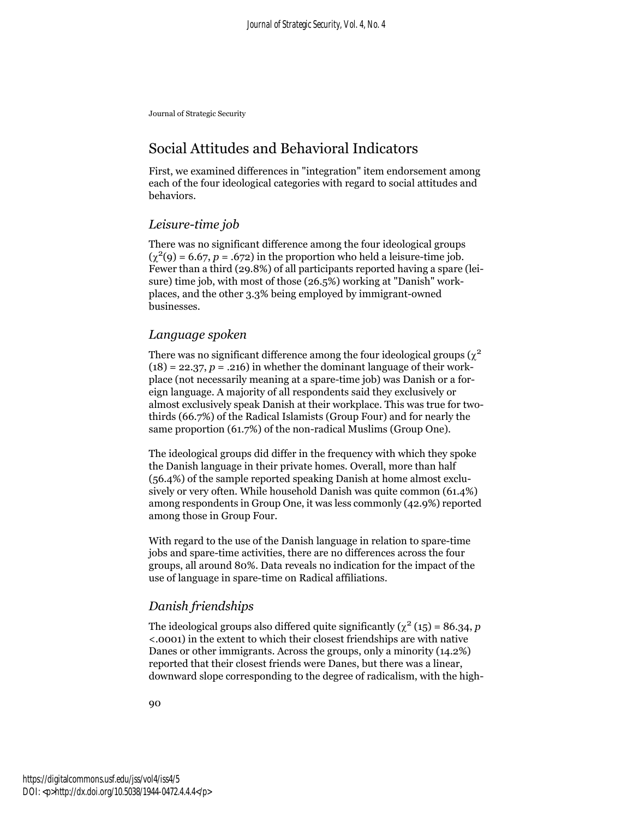## Social Attitudes and Behavioral Indicators

First, we examined differences in "integration" item endorsement among each of the four ideological categories with regard to social attitudes and behaviors.

#### *Leisure-time job*

There was no significant difference among the four ideological groups  $(\chi^2(9) = 6.67, p = .672)$  in the proportion who held a leisure-time job. Fewer than a third (29.8%) of all participants reported having a spare (leisure) time job, with most of those (26.5%) working at "Danish" workplaces, and the other 3.3% being employed by immigrant-owned businesses.

#### *Language spoken*

There was no significant difference among the four ideological groups ( $\chi^2$  $(18) = 22.37, p = .216$ ) in whether the dominant language of their workplace (not necessarily meaning at a spare-time job) was Danish or a foreign language. A majority of all respondents said they exclusively or almost exclusively speak Danish at their workplace. This was true for twothirds (66.7%) of the Radical Islamists (Group Four) and for nearly the same proportion (61.7%) of the non-radical Muslims (Group One).

The ideological groups did differ in the frequency with which they spoke the Danish language in their private homes. Overall, more than half (56.4%) of the sample reported speaking Danish at home almost exclusively or very often. While household Danish was quite common (61.4%) among respondents in Group One, it was less commonly (42.9%) reported among those in Group Four.

With regard to the use of the Danish language in relation to spare-time jobs and spare-time activities, there are no differences across the four groups, all around 80%. Data reveals no indication for the impact of the use of language in spare-time on Radical affiliations.

## *Danish friendships*

The ideological groups also differed quite significantly ( $\chi^2$  (15) = 86.34, *p* <.0001) in the extent to which their closest friendships are with native Danes or other immigrants. Across the groups, only a minority (14.2%) reported that their closest friends were Danes, but there was a linear, downward slope corresponding to the degree of radicalism, with the high-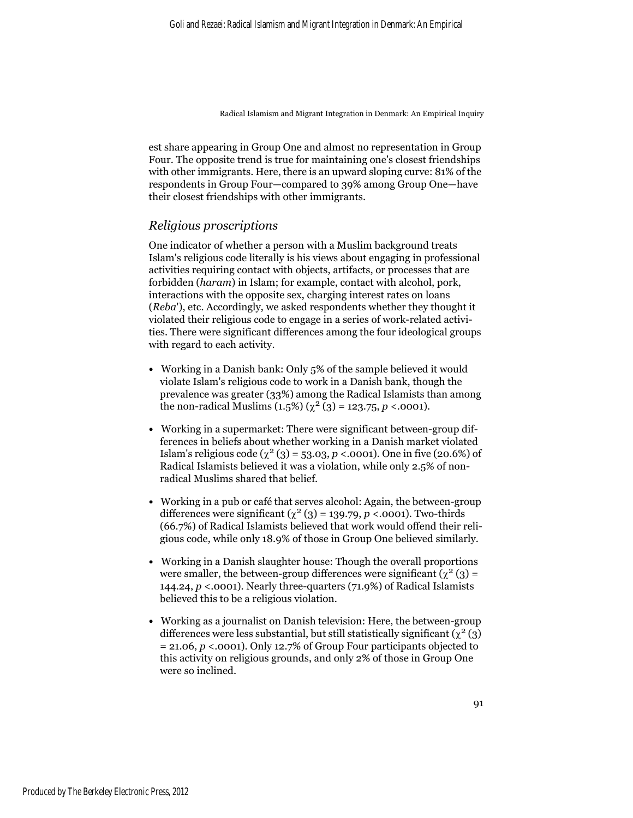est share appearing in Group One and almost no representation in Group Four. The opposite trend is true for maintaining one's closest friendships with other immigrants. Here, there is an upward sloping curve: 81% of the respondents in Group Four—compared to 39% among Group One—have their closest friendships with other immigrants.

#### *Religious proscriptions*

One indicator of whether a person with a Muslim background treats Islam's religious code literally is his views about engaging in professional activities requiring contact with objects, artifacts, or processes that are forbidden (*haram*) in Islam; for example, contact with alcohol, pork, interactions with the opposite sex, charging interest rates on loans (*Reba*'), etc. Accordingly, we asked respondents whether they thought it violated their religious code to engage in a series of work-related activities. There were significant differences among the four ideological groups with regard to each activity.

- Working in a Danish bank: Only 5% of the sample believed it would violate Islam's religious code to work in a Danish bank, though the prevalence was greater (33%) among the Radical Islamists than among the non-radical Muslims (1.5%) ( $\chi^2$  (3) = 123.75, *p* <.0001).
- Working in a supermarket: There were significant between-group differences in beliefs about whether working in a Danish market violated Islam's religious code ( $\chi^2$  (3) = 53.03, *p* <.0001). One in five (20.6%) of Radical Islamists believed it was a violation, while only 2.5% of nonradical Muslims shared that belief.
- Working in a pub or café that serves alcohol: Again, the between-group differences were significant  $(\chi^2(3) = 139.79, p < .0001)$ . Two-thirds (66.7%) of Radical Islamists believed that work would offend their religious code, while only 18.9% of those in Group One believed similarly.
- Working in a Danish slaughter house: Though the overall proportions were smaller, the between-group differences were significant ( $\chi^2$  (3) = 144.24, *p* <.0001). Nearly three-quarters (71.9%) of Radical Islamists believed this to be a religious violation.
- Working as a journalist on Danish television: Here, the between-group differences were less substantial, but still statistically significant ( $\chi^2$  (3) = 21.06, *p* <.0001). Only 12.7% of Group Four participants objected to this activity on religious grounds, and only 2% of those in Group One were so inclined.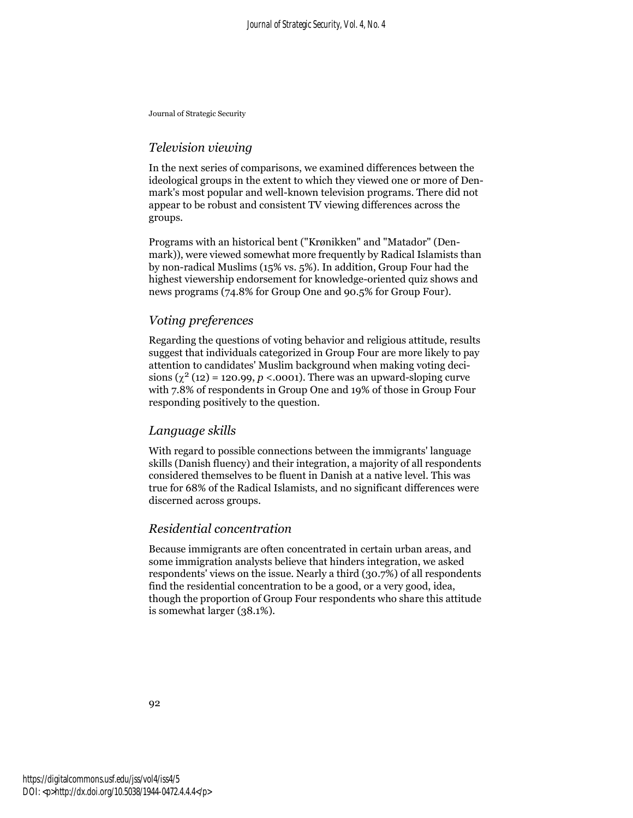## *Television viewing*

In the next series of comparisons, we examined differences between the ideological groups in the extent to which they viewed one or more of Denmark's most popular and well-known television programs. There did not appear to be robust and consistent TV viewing differences across the groups.

Programs with an historical bent ("Krønikken" and "Matador" (Denmark)), were viewed somewhat more frequently by Radical Islamists than by non-radical Muslims (15% vs. 5%). In addition, Group Four had the highest viewership endorsement for knowledge-oriented quiz shows and news programs (74.8% for Group One and 90.5% for Group Four).

#### *Voting preferences*

Regarding the questions of voting behavior and religious attitude, results suggest that individuals categorized in Group Four are more likely to pay attention to candidates' Muslim background when making voting decisions  $(\chi^2 (12) = 120.99, p < .0001)$ . There was an upward-sloping curve with 7.8% of respondents in Group One and 19% of those in Group Four responding positively to the question.

#### *Language skills*

With regard to possible connections between the immigrants' language skills (Danish fluency) and their integration, a majority of all respondents considered themselves to be fluent in Danish at a native level. This was true for 68% of the Radical Islamists, and no significant differences were discerned across groups.

#### *Residential concentration*

Because immigrants are often concentrated in certain urban areas, and some immigration analysts believe that hinders integration, we asked respondents' views on the issue. Nearly a third (30.7%) of all respondents find the residential concentration to be a good, or a very good, idea, though the proportion of Group Four respondents who share this attitude is somewhat larger (38.1%).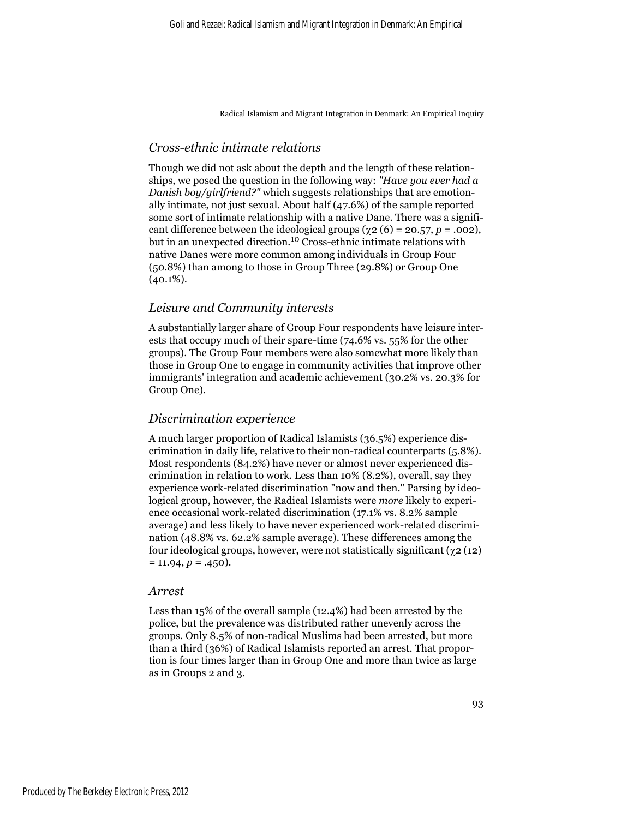#### *Cross-ethnic intimate relations*

Though we did not ask about the depth and the length of these relationships, we posed the question in the following way: *"Have you ever had a Danish boy/girlfriend?"* which suggests relationships that are emotionally intimate, not just sexual. About half (47.6%) of the sample reported some sort of intimate relationship with a native Dane. There was a significant difference between the ideological groups ( $\chi$ 2 (6) = 20.57, *p* = .002), but in an unexpected direction.10 Cross-ethnic intimate relations with native Danes were more common among individuals in Group Four (50.8%) than among to those in Group Three (29.8%) or Group One (40.1%).

#### *Leisure and Community interests*

A substantially larger share of Group Four respondents have leisure interests that occupy much of their spare-time (74.6% vs. 55% for the other groups). The Group Four members were also somewhat more likely than those in Group One to engage in community activities that improve other immigrants' integration and academic achievement (30.2% vs. 20.3% for Group One).

#### *Discrimination experience*

A much larger proportion of Radical Islamists (36.5%) experience discrimination in daily life, relative to their non-radical counterparts (5.8%). Most respondents (84.2%) have never or almost never experienced discrimination in relation to work. Less than 10% (8.2%), overall, say they experience work-related discrimination "now and then." Parsing by ideological group, however, the Radical Islamists were *more* likely to experience occasional work-related discrimination (17.1% vs. 8.2% sample average) and less likely to have never experienced work-related discrimination (48.8% vs. 62.2% sample average). These differences among the four ideological groups, however, were not statistically significant (χ2 (12)  $= 11.94, p = .450$ .

#### *Arrest*

Less than 15% of the overall sample (12.4%) had been arrested by the police, but the prevalence was distributed rather unevenly across the groups. Only 8.5% of non-radical Muslims had been arrested, but more than a third (36%) of Radical Islamists reported an arrest. That proportion is four times larger than in Group One and more than twice as large as in Groups 2 and 3.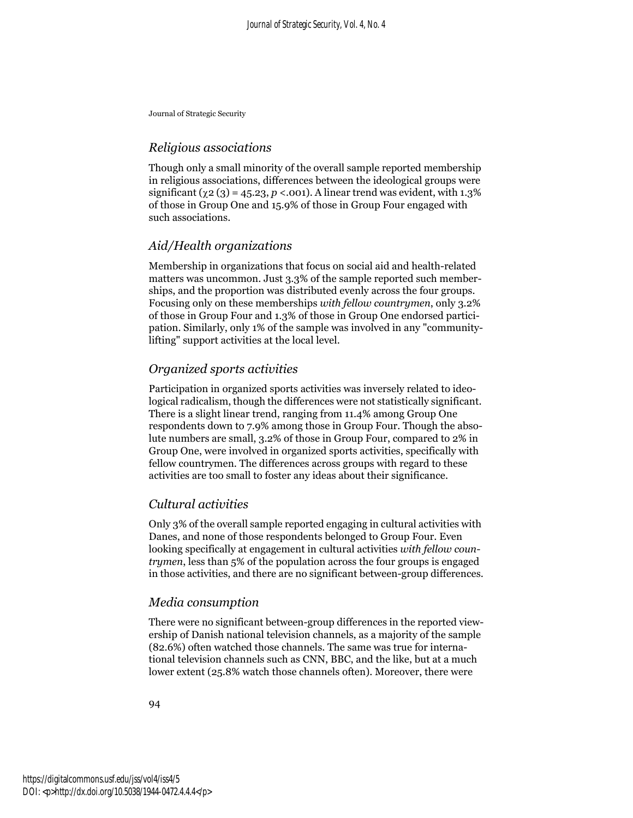#### *Religious associations*

Though only a small minority of the overall sample reported membership in religious associations, differences between the ideological groups were significant ( $\chi$ 2 (3) = 45.23, *p* <.001). A linear trend was evident, with 1.3% of those in Group One and 15.9% of those in Group Four engaged with such associations.

#### *Aid/Health organizations*

Membership in organizations that focus on social aid and health-related matters was uncommon. Just 3.3% of the sample reported such memberships, and the proportion was distributed evenly across the four groups. Focusing only on these memberships *with fellow countrymen*, only 3.2% of those in Group Four and 1.3% of those in Group One endorsed participation. Similarly, only 1% of the sample was involved in any "communitylifting" support activities at the local level.

#### *Organized sports activities*

Participation in organized sports activities was inversely related to ideological radicalism, though the differences were not statistically significant. There is a slight linear trend, ranging from 11.4% among Group One respondents down to 7.9% among those in Group Four. Though the absolute numbers are small, 3.2% of those in Group Four, compared to 2% in Group One, were involved in organized sports activities, specifically with fellow countrymen. The differences across groups with regard to these activities are too small to foster any ideas about their significance.

#### *Cultural activities*

Only 3% of the overall sample reported engaging in cultural activities with Danes, and none of those respondents belonged to Group Four. Even looking specifically at engagement in cultural activities *with fellow countrymen*, less than 5% of the population across the four groups is engaged in those activities, and there are no significant between-group differences.

#### *Media consumption*

There were no significant between-group differences in the reported viewership of Danish national television channels, as a majority of the sample (82.6%) often watched those channels. The same was true for international television channels such as CNN, BBC, and the like, but at a much lower extent (25.8% watch those channels often). Moreover, there were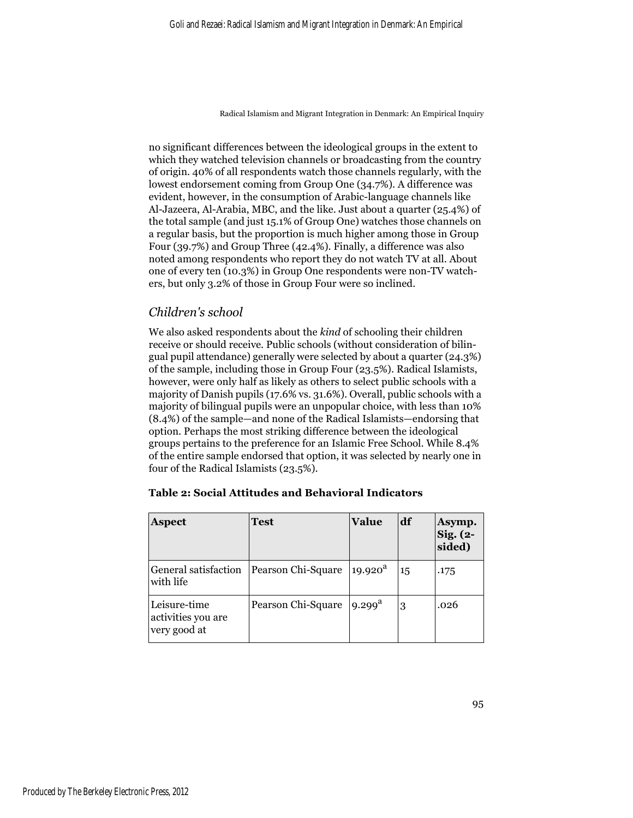no significant differences between the ideological groups in the extent to which they watched television channels or broadcasting from the country of origin. 40% of all respondents watch those channels regularly, with the lowest endorsement coming from Group One (34.7%). A difference was evident, however, in the consumption of Arabic-language channels like Al-Jazeera, Al-Arabia, MBC, and the like. Just about a quarter (25.4%) of the total sample (and just 15.1% of Group One) watches those channels on a regular basis, but the proportion is much higher among those in Group Four (39.7%) and Group Three (42.4%). Finally, a difference was also noted among respondents who report they do not watch TV at all. About one of every ten (10.3%) in Group One respondents were non-TV watchers, but only 3.2% of those in Group Four were so inclined.

## *Children's school*

We also asked respondents about the *kind* of schooling their children receive or should receive. Public schools (without consideration of bilingual pupil attendance) generally were selected by about a quarter (24.3%) of the sample, including those in Group Four (23.5%). Radical Islamists, however, were only half as likely as others to select public schools with a majority of Danish pupils (17.6% vs. 31.6%). Overall, public schools with a majority of bilingual pupils were an unpopular choice, with less than 10% (8.4%) of the sample—and none of the Radical Islamists—endorsing that option. Perhaps the most striking difference between the ideological groups pertains to the preference for an Islamic Free School. While 8.4% of the entire sample endorsed that option, it was selected by nearly one in four of the Radical Islamists (23.5%).

| <b>Aspect</b>                                      | <b>Test</b>        | <b>Value</b>        | df | Asymp.<br>Sig. (2-<br>sided) |
|----------------------------------------------------|--------------------|---------------------|----|------------------------------|
| General satisfaction<br>with life                  | Pearson Chi-Square | 19.920 <sup>a</sup> | 15 | .175                         |
| Leisure-time<br>activities you are<br>very good at | Pearson Chi-Square | 9.299 <sup>a</sup>  | 3  | .026                         |

#### **Table 2: Social Attitudes and Behavioral Indicators**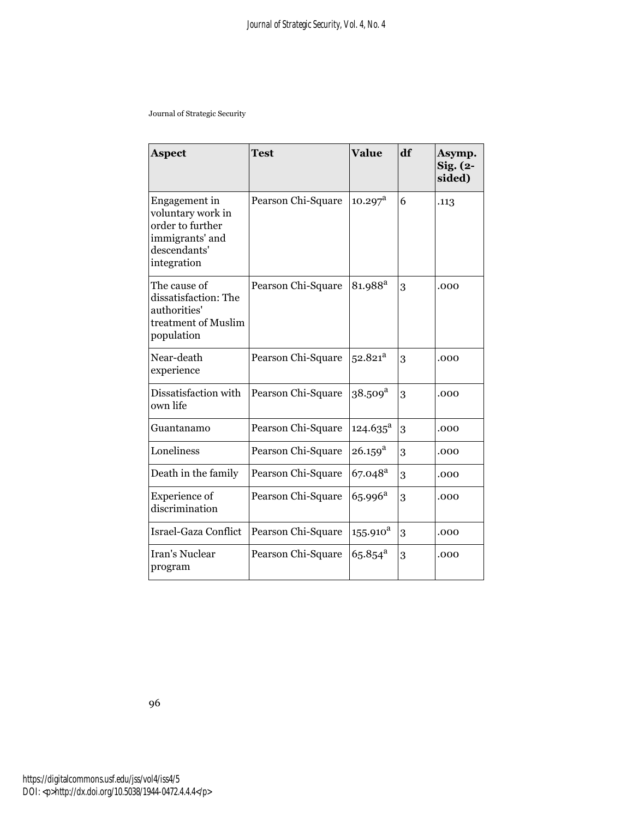| <b>Aspect</b>                                                                                            | <b>Test</b>                               | <b>Value</b>          | df | Asymp.<br>$Sig. (2-$<br>sided) |
|----------------------------------------------------------------------------------------------------------|-------------------------------------------|-----------------------|----|--------------------------------|
| Engagement in<br>voluntary work in<br>order to further<br>immigrants' and<br>descendants'<br>integration | Pearson Chi-Square                        | $10.297$ <sup>a</sup> | 6  | .113                           |
| The cause of<br>dissatisfaction: The<br>authorities'<br>treatment of Muslim<br>population                | 81.988 <sup>a</sup><br>Pearson Chi-Square |                       | 3  | .000                           |
| Near-death<br>experience                                                                                 | 52.821 <sup>a</sup><br>Pearson Chi-Square |                       | 3  | .000                           |
| Dissatisfaction with<br>Pearson Chi-Square<br>own life                                                   |                                           | $38.509^{\rm a}$      | 3  | .000                           |
| Guantanamo                                                                                               | Pearson Chi-Square                        | $124.635^a$           | 3  | .000                           |
| Loneliness                                                                                               | Pearson Chi-Square                        | 26.159 <sup>a</sup>   | 3  | .000                           |
| Death in the family                                                                                      | Pearson Chi-Square                        | $67.048$ <sup>a</sup> | 3  | .000                           |
| <b>Experience</b> of<br>discrimination                                                                   | Pearson Chi-Square                        | $65.996^{\rm a}$      | 3  | .000                           |
| Israel-Gaza Conflict                                                                                     | Pearson Chi-Square                        | $155.910^{a}$         | 3  | .000                           |
| <b>Iran's Nuclear</b><br>program                                                                         | Pearson Chi-Square                        | $65.854$ <sup>a</sup> | 3  | .000                           |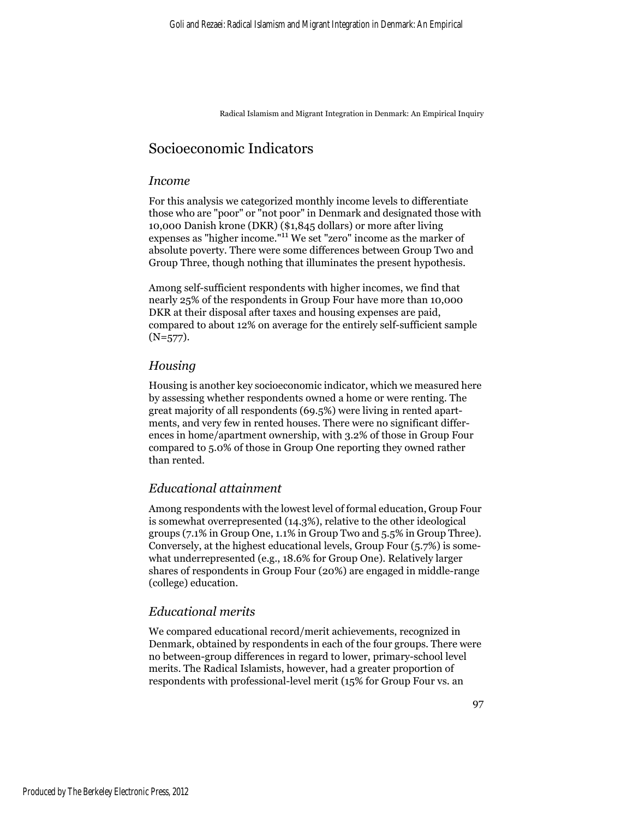# Socioeconomic Indicators

#### *Income*

For this analysis we categorized monthly income levels to differentiate those who are "poor" or "not poor" in Denmark and designated those with 10,000 Danish krone (DKR) (\$1,845 dollars) or more after living expenses as "higher income."11 We set "zero" income as the marker of absolute poverty. There were some differences between Group Two and Group Three, though nothing that illuminates the present hypothesis.

Among self-sufficient respondents with higher incomes, we find that nearly 25% of the respondents in Group Four have more than 10,000 DKR at their disposal after taxes and housing expenses are paid, compared to about 12% on average for the entirely self-sufficient sample  $(N=577)$ .

## *Housing*

Housing is another key socioeconomic indicator, which we measured here by assessing whether respondents owned a home or were renting. The great majority of all respondents (69.5%) were living in rented apartments, and very few in rented houses. There were no significant differences in home/apartment ownership, with 3.2% of those in Group Four compared to 5.0% of those in Group One reporting they owned rather than rented.

## *Educational attainment*

Among respondents with the lowest level of formal education, Group Four is somewhat overrepresented (14.3%), relative to the other ideological groups (7.1% in Group One, 1.1% in Group Two and 5.5% in Group Three). Conversely, at the highest educational levels, Group Four (5.7%) is somewhat underrepresented (e.g., 18.6% for Group One). Relatively larger shares of respondents in Group Four (20%) are engaged in middle-range (college) education.

## *Educational merits*

We compared educational record/merit achievements, recognized in Denmark, obtained by respondents in each of the four groups. There were no between-group differences in regard to lower, primary-school level merits. The Radical Islamists, however, had a greater proportion of respondents with professional-level merit (15% for Group Four vs. an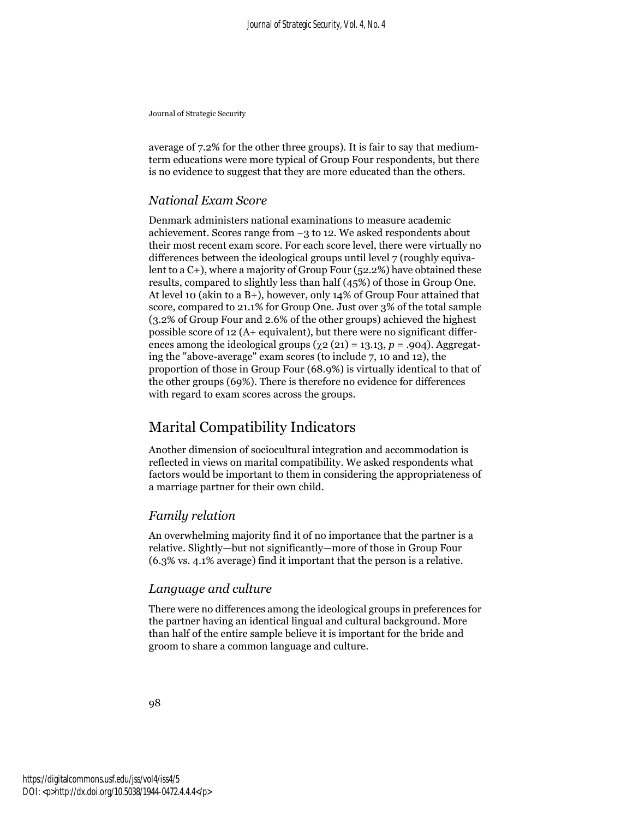average of 7.2% for the other three groups). It is fair to say that mediumterm educations were more typical of Group Four respondents, but there is no evidence to suggest that they are more educated than the others.

## *National Exam Score*

Denmark administers national examinations to measure academic achievement. Scores range from –3 to 12. We asked respondents about their most recent exam score. For each score level, there were virtually no differences between the ideological groups until level 7 (roughly equivalent to a C+), where a majority of Group Four (52.2%) have obtained these results, compared to slightly less than half (45%) of those in Group One. At level 10 (akin to a B+), however, only 14% of Group Four attained that score, compared to 21.1% for Group One. Just over 3% of the total sample (3.2% of Group Four and 2.6% of the other groups) achieved the highest possible score of 12 (A+ equivalent), but there were no significant differences among the ideological groups ( $\chi$ 2 (21) = 13.13, *p* = .904). Aggregating the "above-average" exam scores (to include 7, 10 and 12), the proportion of those in Group Four (68.9%) is virtually identical to that of the other groups (69%). There is therefore no evidence for differences with regard to exam scores across the groups.

# Marital Compatibility Indicators

Another dimension of sociocultural integration and accommodation is reflected in views on marital compatibility. We asked respondents what factors would be important to them in considering the appropriateness of a marriage partner for their own child.

## *Family relation*

An overwhelming majority find it of no importance that the partner is a relative. Slightly—but not significantly—more of those in Group Four (6.3% vs. 4.1% average) find it important that the person is a relative.

## *Language and culture*

There were no differences among the ideological groups in preferences for the partner having an identical lingual and cultural background. More than half of the entire sample believe it is important for the bride and groom to share a common language and culture.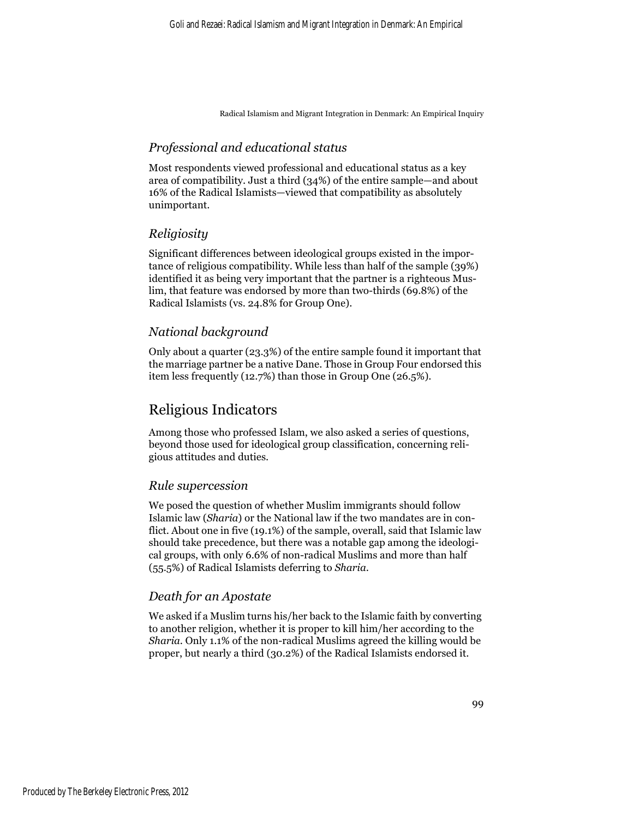## *Professional and educational status*

Most respondents viewed professional and educational status as a key area of compatibility. Just a third (34%) of the entire sample—and about 16% of the Radical Islamists—viewed that compatibility as absolutely unimportant.

## *Religiosity*

Significant differences between ideological groups existed in the importance of religious compatibility. While less than half of the sample (39%) identified it as being very important that the partner is a righteous Muslim, that feature was endorsed by more than two-thirds (69.8%) of the Radical Islamists (vs. 24.8% for Group One).

## *National background*

Only about a quarter (23.3%) of the entire sample found it important that the marriage partner be a native Dane. Those in Group Four endorsed this item less frequently (12.7%) than those in Group One (26.5%).

# Religious Indicators

Among those who professed Islam, we also asked a series of questions, beyond those used for ideological group classification, concerning religious attitudes and duties.

## *Rule supercession*

We posed the question of whether Muslim immigrants should follow Islamic law (*Sharia*) or the National law if the two mandates are in conflict. About one in five (19.1%) of the sample, overall, said that Islamic law should take precedence, but there was a notable gap among the ideological groups, with only 6.6% of non-radical Muslims and more than half (55.5%) of Radical Islamists deferring to *Sharia*.

## *Death for an Apostate*

We asked if a Muslim turns his/her back to the Islamic faith by converting to another religion, whether it is proper to kill him/her according to the *Sharia*. Only 1.1% of the non-radical Muslims agreed the killing would be proper, but nearly a third (30.2%) of the Radical Islamists endorsed it.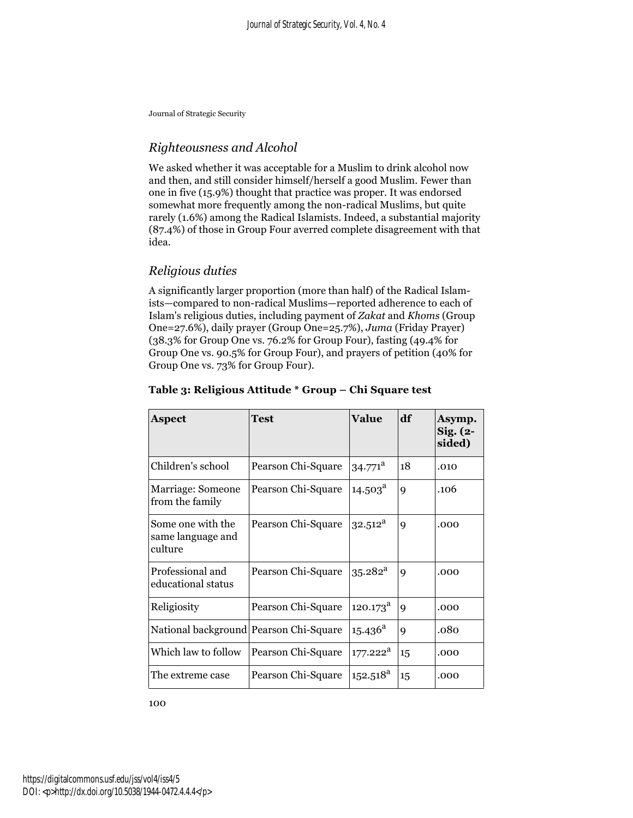## *Righteousness and Alcohol*

We asked whether it was acceptable for a Muslim to drink alcohol now and then, and still consider himself/herself a good Muslim. Fewer than one in five (15.9%) thought that practice was proper. It was endorsed somewhat more frequently among the non-radical Muslims, but quite rarely (1.6%) among the Radical Islamists. Indeed, a substantial majority (87.4%) of those in Group Four averred complete disagreement with that idea.

#### *Religious duties*

A significantly larger proportion (more than half) of the Radical Islamists—compared to non-radical Muslims—reported adherence to each of Islam's religious duties, including payment of *Zakat* and *Khoms* (Group One=27.6%), daily prayer (Group One=25.7%), *Juma* (Friday Prayer) (38.3% for Group One vs. 76.2% for Group Four), fasting (49.4% for Group One vs. 90.5% for Group Four), and prayers of petition (40% for Group One vs. 73% for Group Four).

| <b>Aspect</b>                                     | <b>Test</b>        | <b>Value</b>           | df          | Asymp.<br>$Sig. (2-$<br>sided) |
|---------------------------------------------------|--------------------|------------------------|-------------|--------------------------------|
| Children's school                                 | Pearson Chi-Square | $34.771^{\rm a}$       | 18          | .010                           |
| Marriage: Someone<br>from the family              | Pearson Chi-Square | $14.503^{\rm a}$       | 9           | .106                           |
| Some one with the<br>same language and<br>culture | Pearson Chi-Square | $32.512^a$             | 9           | .000                           |
| Professional and<br>educational status            | Pearson Chi-Square | $35.282$ <sup>a</sup>  | 9           | .000                           |
| Religiosity                                       | Pearson Chi-Square | $120.173^{\text{a}}$   | $\mathbf Q$ | .000                           |
| National background Pearson Chi-Square            |                    | $15.436^{\rm a}$       | 9           | .080                           |
| Which law to follow                               | Pearson Chi-Square | $177.222$ <sup>a</sup> | 15          | .000                           |
| The extreme case                                  | Pearson Chi-Square | $152.518^a$            | 15          | .000                           |

#### **Table 3: Religious Attitude \* Group – Chi Square test**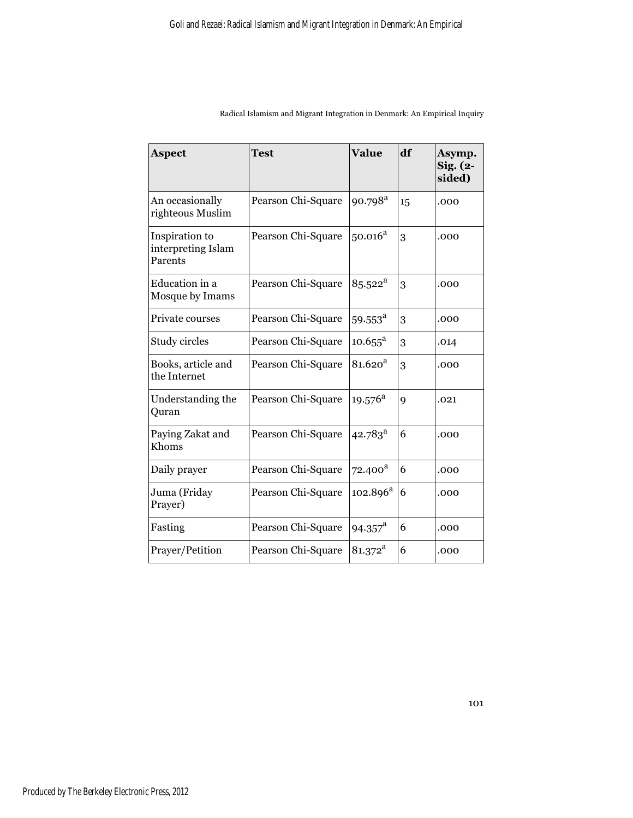| <b>Aspect</b>                                   | <b>Test</b>        | <b>Value</b>          | df | Asymp.<br>$Sig. (2-$<br>sided) |
|-------------------------------------------------|--------------------|-----------------------|----|--------------------------------|
| An occasionally<br>righteous Muslim             | Pearson Chi-Square | $90.798^{\text{a}}$   | 15 | .000                           |
| Inspiration to<br>interpreting Islam<br>Parents | Pearson Chi-Square | $50.016^a$            | 3  | .000                           |
| Education in a<br>Mosque by Imams               | Pearson Chi-Square | $85.522$ <sup>a</sup> | 3  | .000                           |
| Private courses                                 | Pearson Chi-Square | $59.553^{\text{a}}$   | 3  | .000                           |
| Study circles                                   | Pearson Chi-Square | $10.655^{\rm a}$      | 3  | .014                           |
| Books, article and<br>the Internet              | Pearson Chi-Square | 81.620 <sup>a</sup>   | 3  | .000                           |
| Understanding the<br>Quran                      | Pearson Chi-Square | $19.576^{\rm a}$      | 9  | .021                           |
| Paying Zakat and<br>Khoms                       | Pearson Chi-Square | $42.783^a$            | 6  | .000                           |
| Daily prayer                                    | Pearson Chi-Square | 72.400 <sup>a</sup>   | 6  | .000                           |
| Juma (Friday<br>Prayer)                         | Pearson Chi-Square | $102.896^a$           | 6  | .000                           |
| Fasting                                         | Pearson Chi-Square | $94.357$ <sup>a</sup> | 6  | .000                           |
| Prayer/Petition                                 | Pearson Chi-Square | $81.372^{\rm a}$      | 6  | .000                           |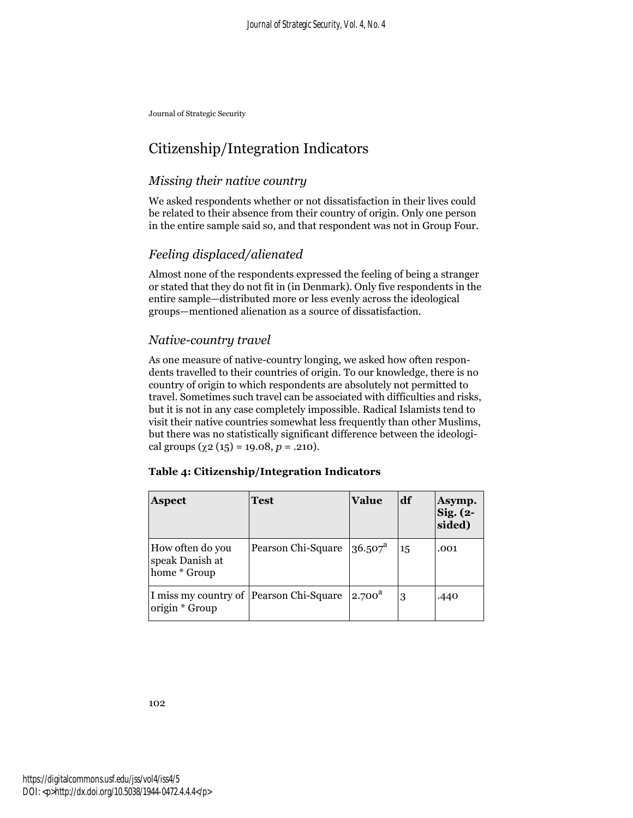# Citizenship/Integration Indicators

## *Missing their native country*

We asked respondents whether or not dissatisfaction in their lives could be related to their absence from their country of origin. Only one person in the entire sample said so, and that respondent was not in Group Four.

## *Feeling displaced/alienated*

Almost none of the respondents expressed the feeling of being a stranger or stated that they do not fit in (in Denmark). Only five respondents in the entire sample—distributed more or less evenly across the ideological groups—mentioned alienation as a source of dissatisfaction.

#### *Native-country travel*

As one measure of native-country longing, we asked how often respondents travelled to their countries of origin. To our knowledge, there is no country of origin to which respondents are absolutely not permitted to travel. Sometimes such travel can be associated with difficulties and risks, but it is not in any case completely impossible. Radical Islamists tend to visit their native countries somewhat less frequently than other Muslims, but there was no statistically significant difference between the ideological groups  $(\chi^2 (15) = 19.08, p = .210)$ .

#### **Table 4: Citizenship/Integration Indicators**

| <b>Aspect</b>                                             | Test               | <b>Value</b>       | df | Asymp.<br>Sig. (2-<br>sided) |
|-----------------------------------------------------------|--------------------|--------------------|----|------------------------------|
| How often do you<br>speak Danish at<br>home * Group       | Pearson Chi-Square | $36.507^{\rm a}$   | 15 | .001                         |
| I miss my country of Pearson Chi-Square<br>origin * Group |                    | 2.700 <sup>a</sup> | 3  | .440                         |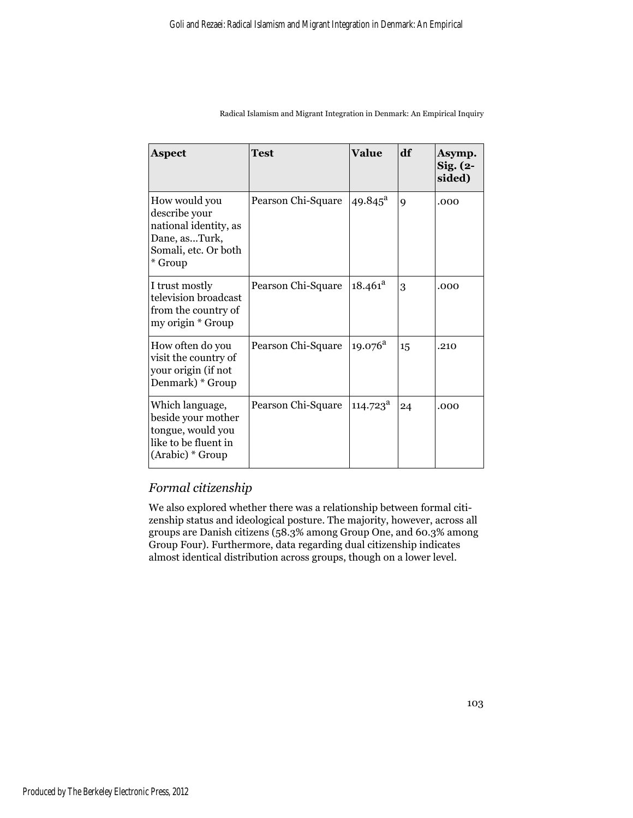| <b>Aspect</b>                                                                                               | <b>Test</b>        | Value                  | df | Asymp.<br>$Sig. (2-$<br>sided) |
|-------------------------------------------------------------------------------------------------------------|--------------------|------------------------|----|--------------------------------|
| How would you<br>describe your<br>national identity, as<br>Dane, asTurk,<br>Somali, etc. Or both<br>* Group | Pearson Chi-Square | $49.845^{\text{a}}$    | 9  | .000                           |
| I trust mostly<br>television broadcast<br>from the country of<br>my origin * Group                          | Pearson Chi-Square | $18.461^a$             | 3  | .000                           |
| How often do you<br>visit the country of<br>your origin (if not<br>Denmark) * Group                         | Pearson Chi-Square | $19.076^{\text{a}}$    | 15 | .210                           |
| Which language,<br>beside your mother<br>tongue, would you<br>like to be fluent in<br>(Arabic) * Group      | Pearson Chi-Square | $114.723^{\mathrm{a}}$ | 24 | .000                           |

## *Formal citizenship*

We also explored whether there was a relationship between formal citizenship status and ideological posture. The majority, however, across all groups are Danish citizens (58.3% among Group One, and 60.3% among Group Four). Furthermore, data regarding dual citizenship indicates almost identical distribution across groups, though on a lower level.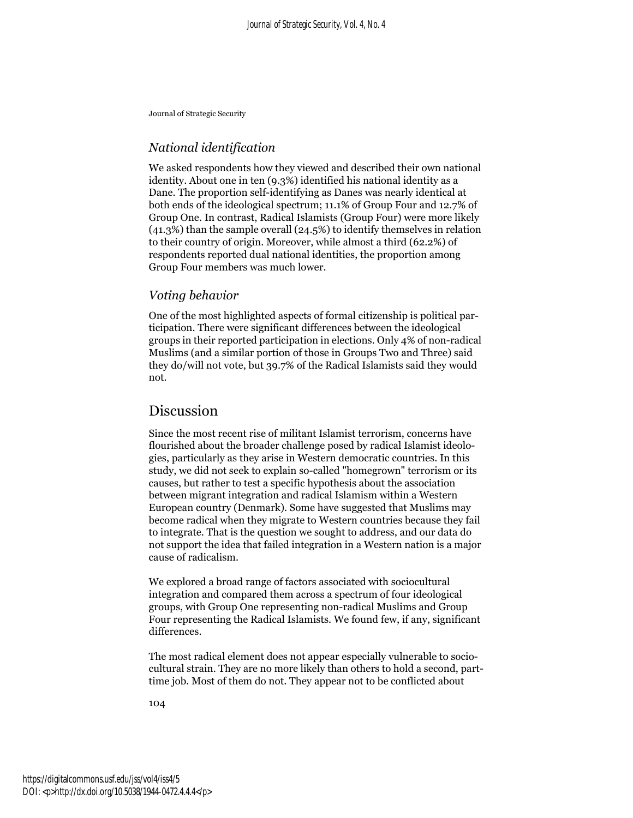#### *National identification*

We asked respondents how they viewed and described their own national identity. About one in ten (9.3%) identified his national identity as a Dane. The proportion self-identifying as Danes was nearly identical at both ends of the ideological spectrum; 11.1% of Group Four and 12.7% of Group One. In contrast, Radical Islamists (Group Four) were more likely (41.3%) than the sample overall (24.5%) to identify themselves in relation to their country of origin. Moreover, while almost a third (62.2%) of respondents reported dual national identities, the proportion among Group Four members was much lower.

#### *Voting behavior*

One of the most highlighted aspects of formal citizenship is political participation. There were significant differences between the ideological groups in their reported participation in elections. Only 4% of non-radical Muslims (and a similar portion of those in Groups Two and Three) said they do/will not vote, but 39.7% of the Radical Islamists said they would not.

## Discussion

Since the most recent rise of militant Islamist terrorism, concerns have flourished about the broader challenge posed by radical Islamist ideologies, particularly as they arise in Western democratic countries. In this study, we did not seek to explain so-called "homegrown" terrorism or its causes, but rather to test a specific hypothesis about the association between migrant integration and radical Islamism within a Western European country (Denmark). Some have suggested that Muslims may become radical when they migrate to Western countries because they fail to integrate. That is the question we sought to address, and our data do not support the idea that failed integration in a Western nation is a major cause of radicalism.

We explored a broad range of factors associated with sociocultural integration and compared them across a spectrum of four ideological groups, with Group One representing non-radical Muslims and Group Four representing the Radical Islamists. We found few, if any, significant differences.

The most radical element does not appear especially vulnerable to sociocultural strain. They are no more likely than others to hold a second, parttime job. Most of them do not. They appear not to be conflicted about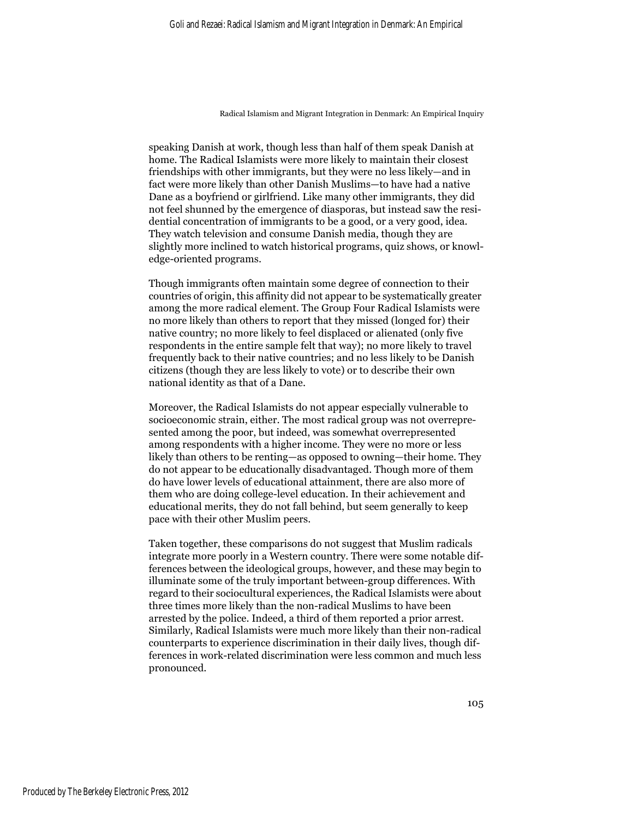speaking Danish at work, though less than half of them speak Danish at home. The Radical Islamists were more likely to maintain their closest friendships with other immigrants, but they were no less likely—and in fact were more likely than other Danish Muslims—to have had a native Dane as a boyfriend or girlfriend. Like many other immigrants, they did not feel shunned by the emergence of diasporas, but instead saw the residential concentration of immigrants to be a good, or a very good, idea. They watch television and consume Danish media, though they are slightly more inclined to watch historical programs, quiz shows, or knowledge-oriented programs.

Though immigrants often maintain some degree of connection to their countries of origin, this affinity did not appear to be systematically greater among the more radical element. The Group Four Radical Islamists were no more likely than others to report that they missed (longed for) their native country; no more likely to feel displaced or alienated (only five respondents in the entire sample felt that way); no more likely to travel frequently back to their native countries; and no less likely to be Danish citizens (though they are less likely to vote) or to describe their own national identity as that of a Dane.

Moreover, the Radical Islamists do not appear especially vulnerable to socioeconomic strain, either. The most radical group was not overrepresented among the poor, but indeed, was somewhat overrepresented among respondents with a higher income. They were no more or less likely than others to be renting—as opposed to owning—their home. They do not appear to be educationally disadvantaged. Though more of them do have lower levels of educational attainment, there are also more of them who are doing college-level education. In their achievement and educational merits, they do not fall behind, but seem generally to keep pace with their other Muslim peers.

Taken together, these comparisons do not suggest that Muslim radicals integrate more poorly in a Western country. There were some notable differences between the ideological groups, however, and these may begin to illuminate some of the truly important between-group differences. With regard to their sociocultural experiences, the Radical Islamists were about three times more likely than the non-radical Muslims to have been arrested by the police. Indeed, a third of them reported a prior arrest. Similarly, Radical Islamists were much more likely than their non-radical counterparts to experience discrimination in their daily lives, though differences in work-related discrimination were less common and much less pronounced.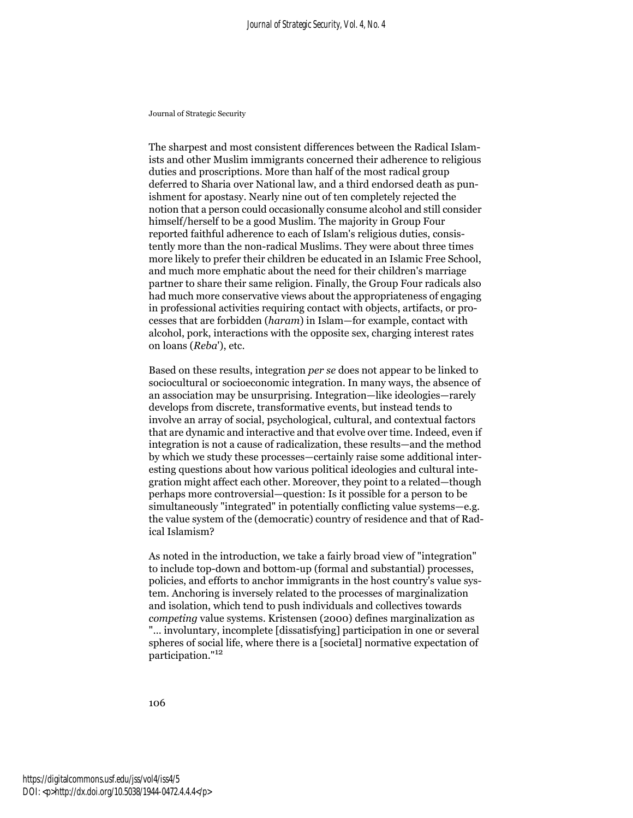The sharpest and most consistent differences between the Radical Islamists and other Muslim immigrants concerned their adherence to religious duties and proscriptions. More than half of the most radical group deferred to Sharia over National law, and a third endorsed death as punishment for apostasy. Nearly nine out of ten completely rejected the notion that a person could occasionally consume alcohol and still consider himself/herself to be a good Muslim. The majority in Group Four reported faithful adherence to each of Islam's religious duties, consistently more than the non-radical Muslims. They were about three times more likely to prefer their children be educated in an Islamic Free School, and much more emphatic about the need for their children's marriage partner to share their same religion. Finally, the Group Four radicals also had much more conservative views about the appropriateness of engaging in professional activities requiring contact with objects, artifacts, or processes that are forbidden (*haram*) in Islam—for example, contact with alcohol, pork, interactions with the opposite sex, charging interest rates on loans (*Reba*'), etc.

Based on these results, integration *per se* does not appear to be linked to sociocultural or socioeconomic integration. In many ways, the absence of an association may be unsurprising. Integration—like ideologies—rarely develops from discrete, transformative events, but instead tends to involve an array of social, psychological, cultural, and contextual factors that are dynamic and interactive and that evolve over time. Indeed, even if integration is not a cause of radicalization, these results—and the method by which we study these processes—certainly raise some additional interesting questions about how various political ideologies and cultural integration might affect each other. Moreover, they point to a related—though perhaps more controversial—question: Is it possible for a person to be simultaneously "integrated" in potentially conflicting value systems—e.g. the value system of the (democratic) country of residence and that of Radical Islamism?

As noted in the introduction, we take a fairly broad view of "integration" to include top-down and bottom-up (formal and substantial) processes, policies, and efforts to anchor immigrants in the host country's value system. Anchoring is inversely related to the processes of marginalization and isolation, which tend to push individuals and collectives towards *competing* value systems. Kristensen (2000) defines marginalization as "… involuntary, incomplete [dissatisfying] participation in one or several spheres of social life, where there is a [societal] normative expectation of participation."<sup>12</sup>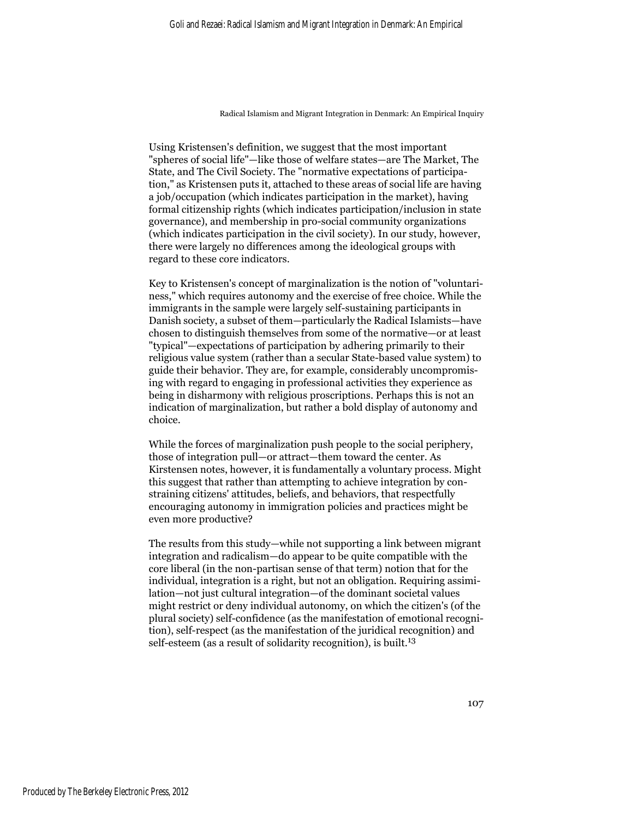Using Kristensen's definition, we suggest that the most important "spheres of social life"—like those of welfare states—are The Market, The State, and The Civil Society. The "normative expectations of participation," as Kristensen puts it, attached to these areas of social life are having a job/occupation (which indicates participation in the market), having formal citizenship rights (which indicates participation/inclusion in state governance), and membership in pro-social community organizations (which indicates participation in the civil society). In our study, however, there were largely no differences among the ideological groups with regard to these core indicators.

Key to Kristensen's concept of marginalization is the notion of "voluntariness," which requires autonomy and the exercise of free choice. While the immigrants in the sample were largely self-sustaining participants in Danish society, a subset of them—particularly the Radical Islamists—have chosen to distinguish themselves from some of the normative—or at least "typical"—expectations of participation by adhering primarily to their religious value system (rather than a secular State-based value system) to guide their behavior. They are, for example, considerably uncompromising with regard to engaging in professional activities they experience as being in disharmony with religious proscriptions. Perhaps this is not an indication of marginalization, but rather a bold display of autonomy and choice.

While the forces of marginalization push people to the social periphery, those of integration pull—or attract—them toward the center. As Kirstensen notes, however, it is fundamentally a voluntary process. Might this suggest that rather than attempting to achieve integration by constraining citizens' attitudes, beliefs, and behaviors, that respectfully encouraging autonomy in immigration policies and practices might be even more productive?

The results from this study—while not supporting a link between migrant integration and radicalism—do appear to be quite compatible with the core liberal (in the non-partisan sense of that term) notion that for the individual, integration is a right, but not an obligation. Requiring assimilation—not just cultural integration—of the dominant societal values might restrict or deny individual autonomy, on which the citizen's (of the plural society) self-confidence (as the manifestation of emotional recognition), self-respect (as the manifestation of the juridical recognition) and self-esteem (as a result of solidarity recognition), is built.<sup>13</sup>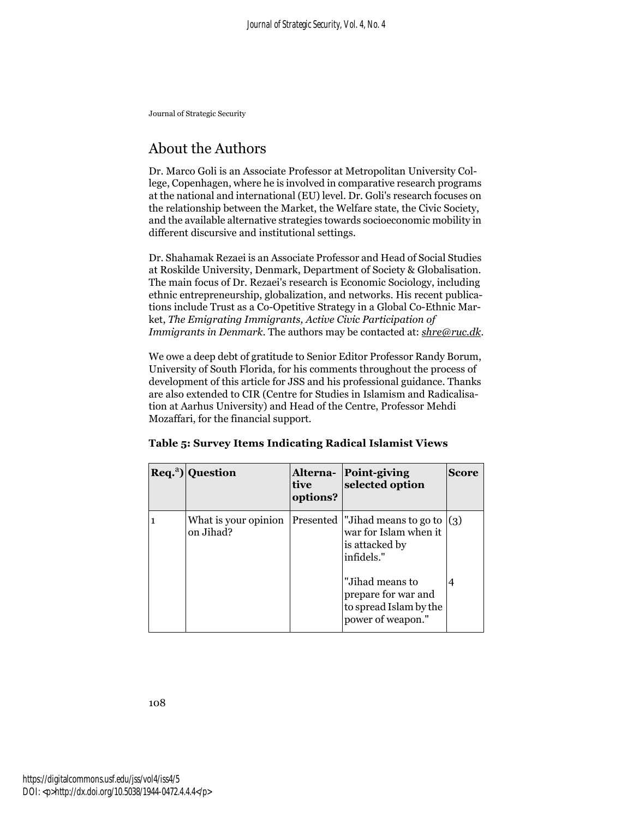# About the Authors

Dr. Marco Goli is an Associate Professor at Metropolitan University College, Copenhagen, where he is involved in comparative research programs at the national and international (EU) level. Dr. Goli's research focuses on the relationship between the Market, the Welfare state, the Civic Society, and the available alternative strategies towards socioeconomic mobility in different discursive and institutional settings.

Dr. Shahamak Rezaei is an Associate Professor and Head of Social Studies at Roskilde University, Denmark, Department of Society & Globalisation. The main focus of Dr. Rezaei's research is Economic Sociology, including ethnic entrepreneurship, globalization, and networks. His recent publications include Trust as a Co-Opetitive Strategy in a Global Co-Ethnic Market, *The Emigrating Immigrants, Active Civic Participation of Immigrants in Denmark*. The authors may be contacted at: *shre@ruc.dk*.

We owe a deep debt of gratitude to Senior Editor Professor Randy Borum, University of South Florida, for his comments throughout the process of development of this article for JSS and his professional guidance. Thanks are also extended to CIR (Centre for Studies in Islamism and Radicalisation at Aarhus University) and Head of the Centre, Professor Mehdi Mozaffari, for the financial support.

| $\text{Re}q.^{a}$ ) Question      | tive<br>options? | Alterna- Point-giving<br>selected option                                              | <b>Score</b> |
|-----------------------------------|------------------|---------------------------------------------------------------------------------------|--------------|
| What is your opinion<br>on Jihad? | Presented        | UJihad means to go to<br>war for Islam when it<br>is attacked by<br>infidels."        | $\vert (3)$  |
|                                   |                  | "Jihad means to<br>prepare for war and<br>to spread Islam by the<br>power of weapon." | 4            |

#### **Table 5: Survey Items Indicating Radical Islamist Views**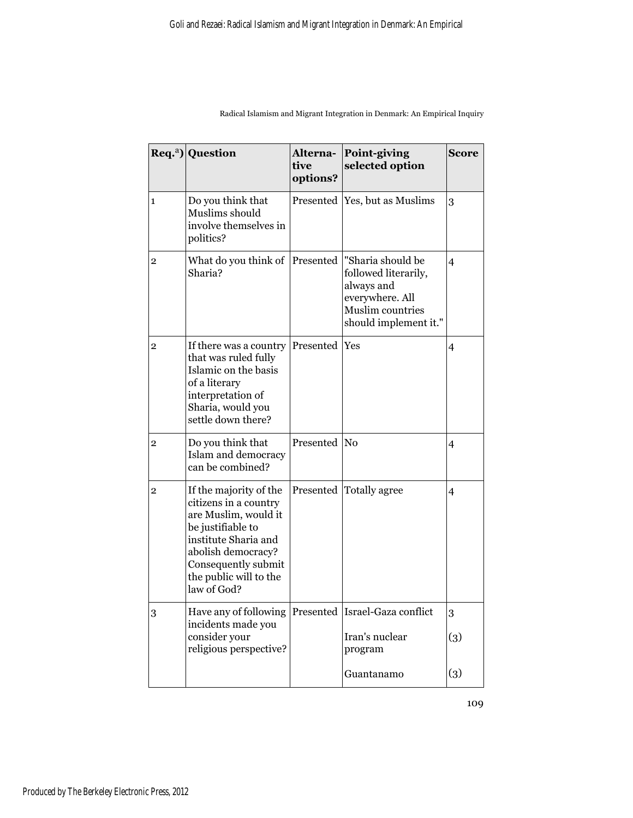|                | $\text{Re}q^{a}$ ) Question                                                                                                                                                                                | Alterna-<br>tive<br>options? | Point-giving<br>selected option                                                                                         | <b>Score</b>   |
|----------------|------------------------------------------------------------------------------------------------------------------------------------------------------------------------------------------------------------|------------------------------|-------------------------------------------------------------------------------------------------------------------------|----------------|
| $\mathbf{1}$   | Do you think that<br>Muslims should<br>involve themselves in<br>politics?                                                                                                                                  |                              | Presented Yes, but as Muslims                                                                                           | 3              |
| $\overline{2}$ | What do you think of<br>Sharia?                                                                                                                                                                            | Presented                    | "Sharia should be<br>followed literarily,<br>always and<br>everywhere. All<br>Muslim countries<br>should implement it." | $\overline{4}$ |
| 2              | If there was a country<br>that was ruled fully<br>Islamic on the basis<br>of a literary<br>interpretation of<br>Sharia, would you<br>settle down there?                                                    | Presented                    | Yes                                                                                                                     | $\overline{4}$ |
| 2              | Do you think that<br>Islam and democracy<br>can be combined?                                                                                                                                               | Presented No                 |                                                                                                                         | 4              |
| 2              | If the majority of the<br>citizens in a country<br>are Muslim, would it<br>be justifiable to<br>institute Sharia and<br>abolish democracy?<br>Consequently submit<br>the public will to the<br>law of God? | Presented                    | <b>Totally agree</b>                                                                                                    | $\overline{4}$ |
| 3              | Have any of following<br>incidents made you<br>consider your<br>religious perspective?                                                                                                                     |                              | Presented Israel-Gaza conflict<br>Iran's nuclear<br>program                                                             | 3<br>(3)       |
|                |                                                                                                                                                                                                            |                              | Guantanamo                                                                                                              | (3)            |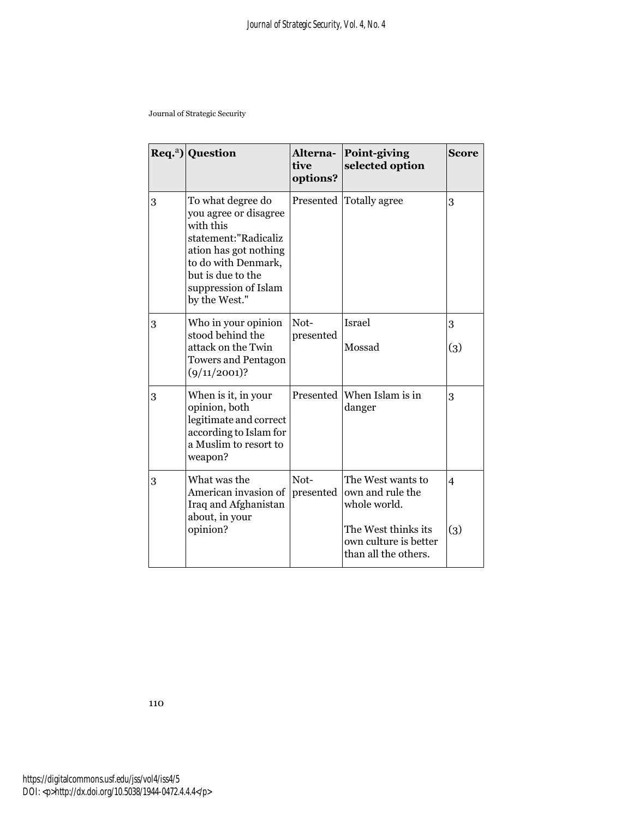|   | $\text{Re}q.^{a}$ ) Question                                                                                                                                                                  | <b>Alterna-</b><br>tive<br>options? | Point-giving<br>selected option                                                                                               | <b>Score</b>          |
|---|-----------------------------------------------------------------------------------------------------------------------------------------------------------------------------------------------|-------------------------------------|-------------------------------------------------------------------------------------------------------------------------------|-----------------------|
| 3 | To what degree do<br>you agree or disagree<br>with this<br>statement:"Radicaliz<br>ation has got nothing<br>to do with Denmark,<br>but is due to the<br>suppression of Islam<br>by the West." | Presented                           | <b>Totally agree</b>                                                                                                          | 3                     |
| 3 | Who in your opinion<br>stood behind the<br>attack on the Twin<br><b>Towers and Pentagon</b><br>$(9/11/2001)$ ?                                                                                | Not-<br>presented                   | <b>Israel</b><br>Mossad                                                                                                       | 3<br>(3)              |
| 3 | When is it, in your<br>opinion, both<br>legitimate and correct<br>according to Islam for<br>a Muslim to resort to<br>weapon?                                                                  | Presented                           | When Islam is in<br>danger                                                                                                    | 3                     |
| 3 | What was the<br>American invasion of<br>Iraq and Afghanistan<br>about, in your<br>opinion?                                                                                                    | Not-<br>presented                   | The West wants to<br>own and rule the<br>whole world.<br>The West thinks its<br>own culture is better<br>than all the others. | $\overline{4}$<br>(3) |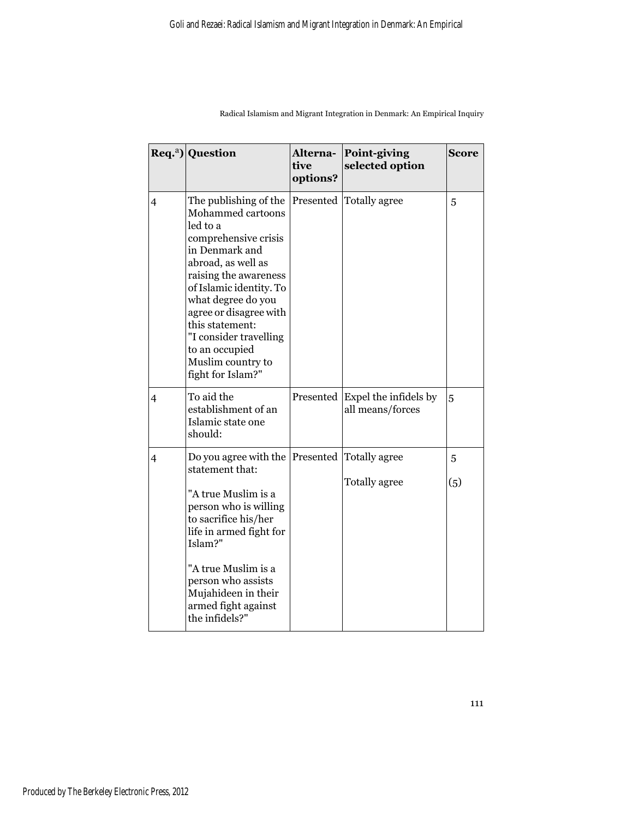|   | $\text{Re}q.^{a})$ Question                                                                                                                                                                                                                                                                                                         | Alterna-<br>tive<br>options? | Point-giving<br>selected option           | <b>Score</b> |
|---|-------------------------------------------------------------------------------------------------------------------------------------------------------------------------------------------------------------------------------------------------------------------------------------------------------------------------------------|------------------------------|-------------------------------------------|--------------|
| 4 | The publishing of the<br>Mohammed cartoons<br>led to a<br>comprehensive crisis<br>in Denmark and<br>abroad, as well as<br>raising the awareness<br>of Islamic identity. To<br>what degree do you<br>agree or disagree with<br>this statement:<br>"I consider travelling<br>to an occupied<br>Muslim country to<br>fight for Islam?" | Presented                    | <b>Totally agree</b>                      | 5            |
| 4 | To aid the<br>establishment of an<br>Islamic state one<br>should:                                                                                                                                                                                                                                                                   | Presented                    | Expel the infidels by<br>all means/forces | 5            |
| 4 | Do you agree with the Presented<br>statement that:<br>"A true Muslim is a<br>person who is willing<br>to sacrifice his/her<br>life in armed fight for<br>Islam?"<br>"A true Muslim is a<br>person who assists<br>Mujahideen in their<br>armed fight against<br>the infidels?"                                                       |                              | Totally agree<br><b>Totally agree</b>     | 5<br>(5)     |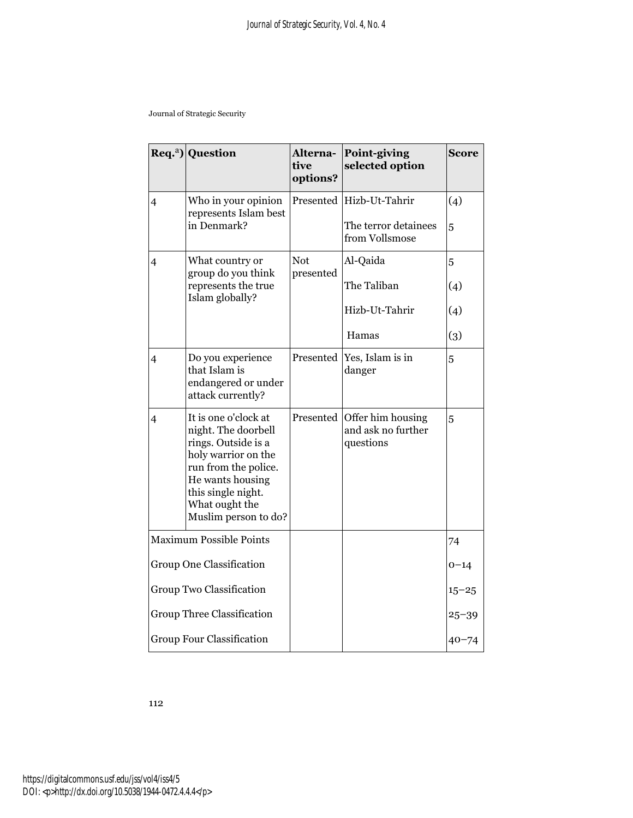|                                  | $\text{Re}q.^{a}$ ) Question                                                                                                                                                                          | tive<br>options?        | Alterna- Point-giving<br>selected option             | Score     |
|----------------------------------|-------------------------------------------------------------------------------------------------------------------------------------------------------------------------------------------------------|-------------------------|------------------------------------------------------|-----------|
| 4                                | Who in your opinion<br>represents Islam best<br>in Denmark?                                                                                                                                           |                         | Presented Hizb-Ut-Tahrir                             | (4)       |
|                                  |                                                                                                                                                                                                       |                         | The terror detainees<br>from Vollsmose               | 5         |
| $\overline{4}$                   | What country or<br>group do you think<br>represents the true<br>Islam globally?                                                                                                                       | <b>Not</b><br>presented | Al-Qaida                                             | 5         |
|                                  |                                                                                                                                                                                                       |                         | The Taliban                                          | (4)       |
|                                  |                                                                                                                                                                                                       |                         | Hizb-Ut-Tahrir                                       | (4)       |
|                                  |                                                                                                                                                                                                       |                         | Hamas                                                | (3)       |
| $\overline{\mathcal{L}}$         | Do you experience<br>that Islam is<br>endangered or under<br>attack currently?                                                                                                                        |                         | Presented Yes, Islam is in<br>danger                 | 5         |
| $\overline{4}$                   | It is one o'clock at<br>night. The doorbell<br>rings. Outside is a<br>holy warrior on the<br>run from the police.<br>He wants housing<br>this single night.<br>What ought the<br>Muslim person to do? | Presented               | Offer him housing<br>and ask no further<br>questions | 5         |
| <b>Maximum Possible Points</b>   |                                                                                                                                                                                                       |                         |                                                      | 74        |
| <b>Group One Classification</b>  |                                                                                                                                                                                                       |                         |                                                      | $0 - 14$  |
| Group Two Classification         |                                                                                                                                                                                                       |                         |                                                      | $15 - 25$ |
| Group Three Classification       |                                                                                                                                                                                                       |                         |                                                      | $25 - 39$ |
| <b>Group Four Classification</b> |                                                                                                                                                                                                       |                         |                                                      | $40 - 74$ |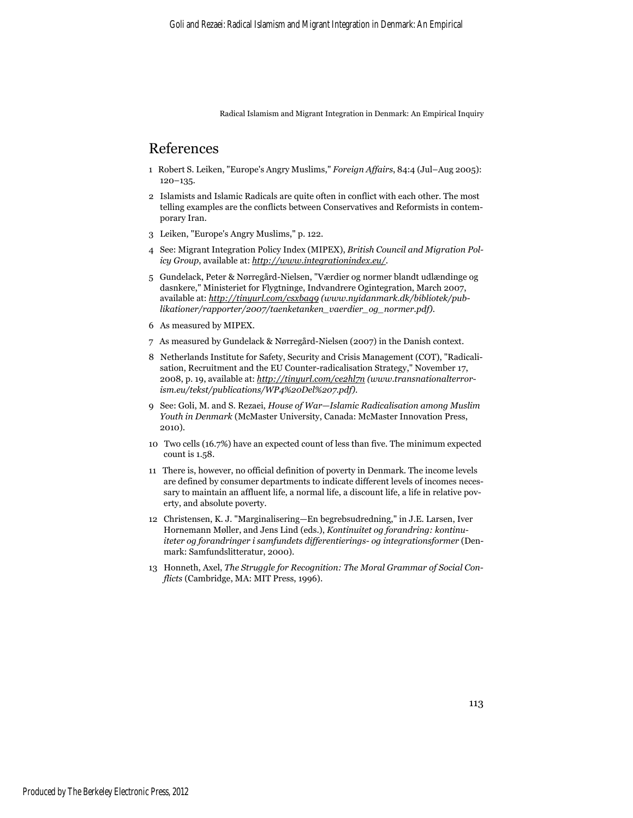## References

- 1 Robert S. Leiken, "Europe's Angry Muslims," *Foreign Affairs*, 84:4 (Jul–Aug 2005): 120–135.
- 2 Islamists and Islamic Radicals are quite often in conflict with each other. The most telling examples are the conflicts between Conservatives and Reformists in contemporary Iran.
- 3 Leiken, "Europe's Angry Muslims," p. 122.
- 4 See: Migrant Integration Policy Index (MIPEX), *British Council and Migration Policy Group*, available at: *http://www.integrationindex.eu/*.
- 5 Gundelack, Peter & Nørregård-Nielsen, "Værdier og normer blandt udlændinge og dasnkere," Ministeriet for Flygtninge, Indvandrere Ogintegration, March 2007, available at: *http://tinyurl.com/csxbaq9 (www.nyidanmark.dk/bibliotek/publikationer/rapporter/2007/taenketanken\_vaerdier\_og\_normer.pdf)*.
- 6 As measured by MIPEX.
- 7 As measured by Gundelack & Nørregård-Nielsen (2007) in the Danish context.
- 8 Netherlands Institute for Safety, Security and Crisis Management (COT), "Radicalisation, Recruitment and the EU Counter-radicalisation Strategy," November 17, 2008, p. 19, available at: *http://tinyurl.com/ce2hl7n (www.transnationalterrorism.eu/tekst/publications/WP4%20Del%207.pdf)*.
- 9 See: Goli, M. and S. Rezaei, *House of War—Islamic Radicalisation among Muslim Youth in Denmark* (McMaster University, Canada: McMaster Innovation Press, 2010).
- 10 Two cells (16.7%) have an expected count of less than five. The minimum expected count is 1.58.
- 11 There is, however, no official definition of poverty in Denmark. The income levels are defined by consumer departments to indicate different levels of incomes necessary to maintain an affluent life, a normal life, a discount life, a life in relative poverty, and absolute poverty.
- 12 Christensen, K. J. "Marginalisering—En begrebsudredning," in J.E. Larsen, Iver Hornemann Møller, and Jens Lind (eds.), *Kontinuitet og forandring: kontinuiteter og forandringer i samfundets differentierings- og integrationsformer* (Denmark: Samfundslitteratur, 2000).
- 13 Honneth, Axel, *The Struggle for Recognition: The Moral Grammar of Social Conflicts* (Cambridge, MA: MIT Press, 1996).